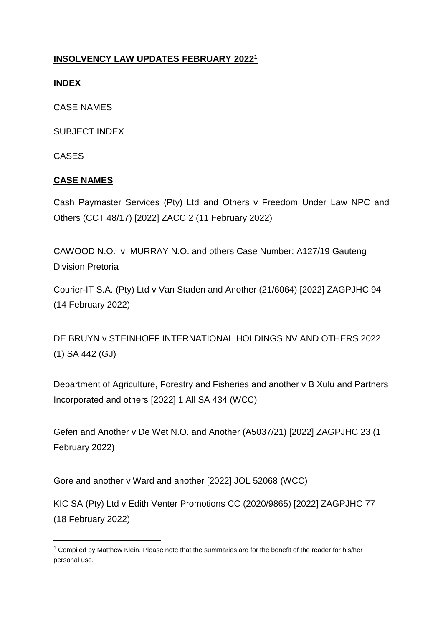### **INSOLVENCY LAW UPDATES FEBRUARY 2022<sup>1</sup>**

### **INDEX**

CASE NAMES

SUBJECT INDEX

CASES

**.** 

### **CASE NAMES**

[Cash Paymaster Services \(Pty\) Ltd and Others v Freedom Under](http://www.saflii.org/za/cases/ZACC/2022/2.html) Law NPC and [Others \(CCT 48/17\) \[2022\] ZACC 2 \(11 February 2022\)](http://www.saflii.org/za/cases/ZACC/2022/2.html)

CAWOOD N.O. v MURRAY N.O. and others Case Number: A127/19 Gauteng Division Pretoria

[Courier-IT S.A. \(Pty\) Ltd v Van Staden and Another \(21/6064\) \[2022\] ZAGPJHC 94](http://www.saflii.org/za/cases/ZAGPJHC/2022/94.html)  [\(14 February 2022\)](http://www.saflii.org/za/cases/ZAGPJHC/2022/94.html)

DE BRUYN v STEINHOFF INTERNATIONAL HOLDINGS NV AND OTHERS 2022 (1) SA 442 (GJ)

Department of Agriculture, Forestry and Fisheries and another v B Xulu and Partners Incorporated and others [2022] 1 All SA 434 (WCC)

[Gefen and Another v De Wet N.O. and Another \(A5037/21\) \[2022\] ZAGPJHC 23 \(1](http://www.saflii.org/za/cases/ZAGPJHC/2022/23.html)  [February 2022\)](http://www.saflii.org/za/cases/ZAGPJHC/2022/23.html)

Gore and another v Ward and another [2022] JOL 52068 (WCC)

[KIC SA \(Pty\) Ltd v Edith Venter Promotions CC \(2020/9865\) \[2022\] ZAGPJHC 77](http://www.saflii.org/za/cases/ZAGPJHC/2022/77.html)  [\(18 February 2022\)](http://www.saflii.org/za/cases/ZAGPJHC/2022/77.html)

 $1$  Compiled by Matthew Klein. Please note that the summaries are for the benefit of the reader for his/her personal use.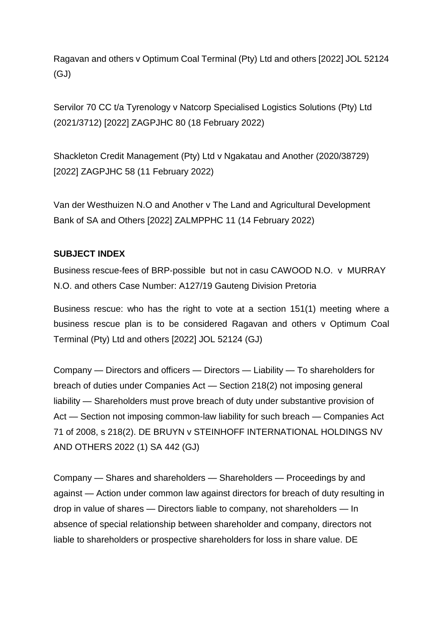Ragavan and others v Optimum Coal Terminal (Pty) Ltd and others [2022] JOL 52124 (GJ)

[Servilor 70 CC t/a Tyrenology v Natcorp Specialised Logistics Solutions \(Pty\) Ltd](http://www.saflii.org/za/cases/ZAGPJHC/2022/80.html)  [\(2021/3712\) \[2022\] ZAGPJHC 80 \(18 February 2022\)](http://www.saflii.org/za/cases/ZAGPJHC/2022/80.html)

[Shackleton Credit Management \(Pty\) Ltd v Ngakatau and Another \(2020/38729\)](http://www.saflii.org/za/cases/ZAGPJHC/2022/58.html)  [\[2022\] ZAGPJHC 58 \(11 February 2022\)](http://www.saflii.org/za/cases/ZAGPJHC/2022/58.html)

[Van der Westhuizen N.O and Another v The Land and Agricultural Development](http://www.saflii.org/za/cases/ZALMPPHC/2022/11.html)  [Bank of SA and Others \[2022\] ZALMPPHC 11 \(14 February 2022\)](http://www.saflii.org/za/cases/ZALMPPHC/2022/11.html)

#### **SUBJECT INDEX**

Business rescue-fees of BRP-possible but not in casu CAWOOD N.O. v MURRAY N.O. and others Case Number: A127/19 Gauteng Division Pretoria

Business rescue: who has the right to vote at a section 151(1) meeting where a business rescue plan is to be considered Ragavan and others v Optimum Coal Terminal (Pty) Ltd and others [2022] JOL 52124 (GJ)

Company — Directors and officers — Directors — Liability — To shareholders for breach of duties under Companies Act — Section 218(2) not imposing general liability — Shareholders must prove breach of duty under substantive provision of Act — Section not imposing common-law liability for such breach — Companies Act 71 of 2008, s 218(2). DE BRUYN v STEINHOFF INTERNATIONAL HOLDINGS NV AND OTHERS 2022 (1) SA 442 (GJ)

Company — Shares and shareholders — Shareholders — Proceedings by and against — Action under common law against directors for breach of duty resulting in drop in value of shares — Directors liable to company, not shareholders — In absence of special relationship between shareholder and company, directors not liable to shareholders or prospective shareholders for loss in share value. DE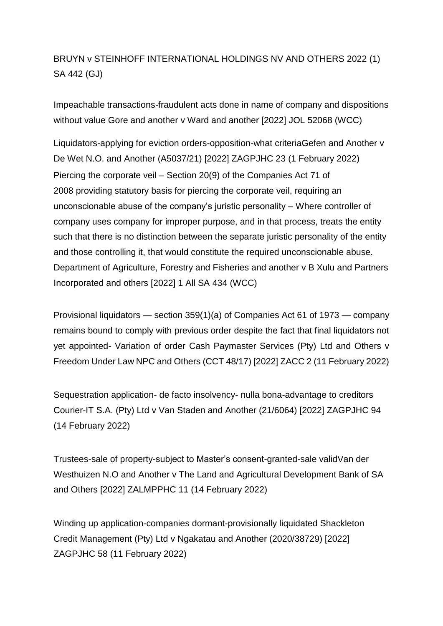## BRUYN v STEINHOFF INTERNATIONAL HOLDINGS NV AND OTHERS 2022 (1) SA 442 (GJ)

Impeachable transactions-fraudulent acts done in name of company and dispositions without value Gore and another v Ward and another [2022] JOL 52068 (WCC)

Liquidators-applying for eviction orders-opposition-what criteri[aGefen and Another v](http://www.saflii.org/za/cases/ZAGPJHC/2022/23.html)  [De Wet N.O. and Another \(A5037/21\) \[2022\] ZAGPJHC 23 \(1 February 2022\)](http://www.saflii.org/za/cases/ZAGPJHC/2022/23.html) Piercing the corporate veil – Section 20(9) of the Companies Act 71 of 2008 providing statutory basis for piercing the corporate veil, requiring an unconscionable abuse of the company's juristic personality – Where controller of company uses company for improper purpose, and in that process, treats the entity such that there is no distinction between the separate juristic personality of the entity and those controlling it, that would constitute the required unconscionable abuse. Department of Agriculture, Forestry and Fisheries and another v B Xulu and Partners Incorporated and others [2022] 1 All SA 434 (WCC)

Provisional liquidators — section 359(1)(a) of Companies Act 61 of 1973 — company remains bound to comply with previous order despite the fact that final liquidators not yet appointed- Variation of order [Cash Paymaster Services \(Pty\) Ltd and Others v](http://www.saflii.org/za/cases/ZACC/2022/2.html)  [Freedom Under Law NPC and Others \(CCT 48/17\) \[2022\] ZACC 2 \(11 February 2022\)](http://www.saflii.org/za/cases/ZACC/2022/2.html)

Sequestration application- de facto insolvency- nulla bona-advantage to creditors [Courier-IT S.A. \(Pty\) Ltd v Van Staden and Another \(21/6064\) \[2022\] ZAGPJHC 94](http://www.saflii.org/za/cases/ZAGPJHC/2022/94.html)  [\(14 February 2022\)](http://www.saflii.org/za/cases/ZAGPJHC/2022/94.html)

Trustees-sale of property-subject to Master's consent-granted-sale vali[dVan der](http://www.saflii.org/za/cases/ZALMPPHC/2022/11.html)  [Westhuizen N.O and Another v The Land and Agricultural Development Bank of SA](http://www.saflii.org/za/cases/ZALMPPHC/2022/11.html)  [and Others \[2022\] ZALMPPHC 11 \(14 February 2022\)](http://www.saflii.org/za/cases/ZALMPPHC/2022/11.html)

Winding up application-companies dormant-provisionally liquidated [Shackleton](http://www.saflii.org/za/cases/ZAGPJHC/2022/58.html)  [Credit Management \(Pty\) Ltd v Ngakatau and Another \(2020/38729\) \[2022\]](http://www.saflii.org/za/cases/ZAGPJHC/2022/58.html)  [ZAGPJHC 58 \(11 February 2022\)](http://www.saflii.org/za/cases/ZAGPJHC/2022/58.html)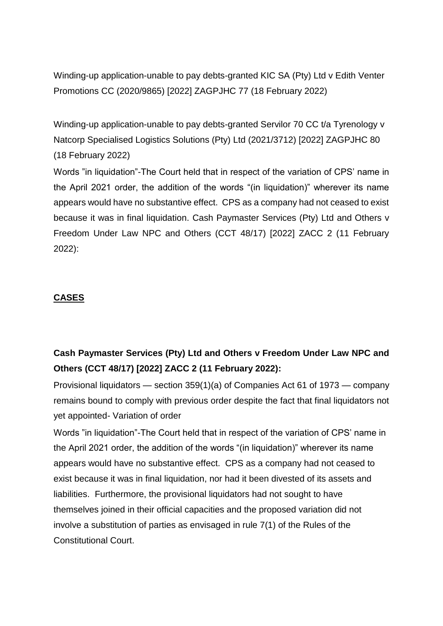Winding-up application-unable to pay debts-granted [KIC SA \(Pty\) Ltd v Edith Venter](http://www.saflii.org/za/cases/ZAGPJHC/2022/77.html)  [Promotions CC \(2020/9865\) \[2022\] ZAGPJHC 77 \(18 February 2022\)](http://www.saflii.org/za/cases/ZAGPJHC/2022/77.html)

Winding-up application-unable to pay debts-granted Servilor 70 CC t/a Tyrenology v [Natcorp Specialised Logistics Solutions \(Pty\) Ltd \(2021/3712\) \[2022\] ZAGPJHC 80](http://www.saflii.org/za/cases/ZAGPJHC/2022/80.html)  [\(18 February 2022\)](http://www.saflii.org/za/cases/ZAGPJHC/2022/80.html)

Words "in liquidation"-The Court held that in respect of the variation of CPS' name in the April 2021 order, the addition of the words "(in liquidation)" wherever its name appears would have no substantive effect. CPS as a company had not ceased to exist because it was in final liquidation. [Cash Paymaster Services \(Pty\) Ltd and Others v](http://www.saflii.org/za/cases/ZACC/2022/2.html)  [Freedom Under Law NPC and Others \(CCT 48/17\) \[2022\] ZACC 2 \(11 February](http://www.saflii.org/za/cases/ZACC/2022/2.html)  [2022\):](http://www.saflii.org/za/cases/ZACC/2022/2.html)

### **CASES**

## **[Cash Paymaster Services \(Pty\) Ltd and Others v Freedom Under Law NPC and](http://www.saflii.org/za/cases/ZACC/2022/2.html)  [Others \(CCT 48/17\) \[2022\] ZACC 2 \(11 February 2022\):](http://www.saflii.org/za/cases/ZACC/2022/2.html)**

Provisional liquidators — section 359(1)(a) of Companies Act 61 of 1973 — company remains bound to comply with previous order despite the fact that final liquidators not yet appointed- Variation of order

Words "in liquidation"-The Court held that in respect of the variation of CPS' name in the April 2021 order, the addition of the words "(in liquidation)" wherever its name appears would have no substantive effect. CPS as a company had not ceased to exist because it was in final liquidation, nor had it been divested of its assets and liabilities. Furthermore, the provisional liquidators had not sought to have themselves joined in their official capacities and the proposed variation did not involve a substitution of parties as envisaged in rule 7(1) of the Rules of the Constitutional Court.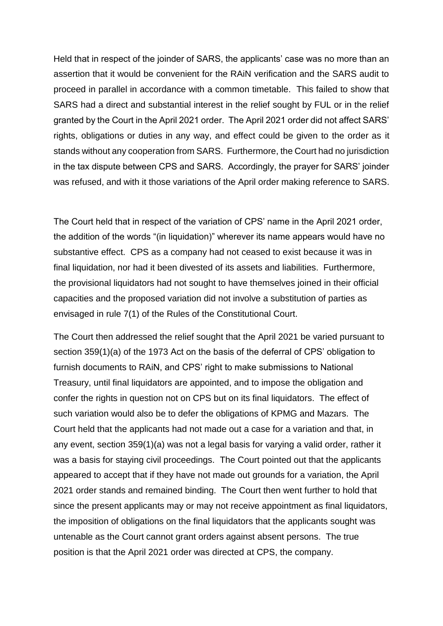Held that in respect of the joinder of SARS, the applicants' case was no more than an assertion that it would be convenient for the RAiN verification and the SARS audit to proceed in parallel in accordance with a common timetable. This failed to show that SARS had a direct and substantial interest in the relief sought by FUL or in the relief granted by the Court in the April 2021 order. The April 2021 order did not affect SARS' rights, obligations or duties in any way, and effect could be given to the order as it stands without any cooperation from SARS. Furthermore, the Court had no jurisdiction in the tax dispute between CPS and SARS. Accordingly, the prayer for SARS' joinder was refused, and with it those variations of the April order making reference to SARS.

The Court held that in respect of the variation of CPS' name in the April 2021 order, the addition of the words "(in liquidation)" wherever its name appears would have no substantive effect. CPS as a company had not ceased to exist because it was in final liquidation, nor had it been divested of its assets and liabilities. Furthermore, the provisional liquidators had not sought to have themselves joined in their official capacities and the proposed variation did not involve a substitution of parties as envisaged in rule 7(1) of the Rules of the Constitutional Court.

The Court then addressed the relief sought that the April 2021 be varied pursuant to section 359(1)(a) of the 1973 Act on the basis of the deferral of CPS' obligation to furnish documents to RAiN, and CPS' right to make submissions to National Treasury, until final liquidators are appointed, and to impose the obligation and confer the rights in question not on CPS but on its final liquidators. The effect of such variation would also be to defer the obligations of KPMG and Mazars. The Court held that the applicants had not made out a case for a variation and that, in any event, section 359(1)(a) was not a legal basis for varying a valid order, rather it was a basis for staying civil proceedings. The Court pointed out that the applicants appeared to accept that if they have not made out grounds for a variation, the April 2021 order stands and remained binding. The Court then went further to hold that since the present applicants may or may not receive appointment as final liquidators, the imposition of obligations on the final liquidators that the applicants sought was untenable as the Court cannot grant orders against absent persons. The true position is that the April 2021 order was directed at CPS, the company.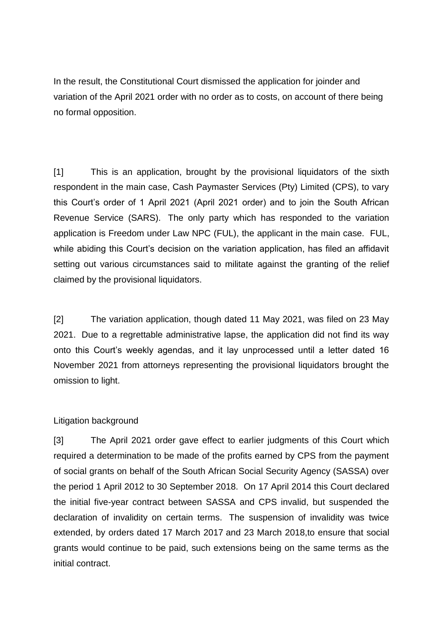In the result, the Constitutional Court dismissed the application for joinder and variation of the April 2021 order with no order as to costs, on account of there being no formal opposition.

[1] This is an application, brought by the provisional liquidators of the sixth respondent in the main case, Cash Paymaster Services (Pty) Limited (CPS), to vary this Court's order of 1 April 2021 (April 2021 order) and to join the South African Revenue Service (SARS). The only party which has responded to the variation application is Freedom under Law NPC (FUL), the applicant in the main case. FUL, while abiding this Court's decision on the variation application, has filed an affidavit setting out various circumstances said to militate against the granting of the relief claimed by the provisional liquidators.

[2] The variation application, though dated 11 May 2021, was filed on 23 May 2021. Due to a regrettable administrative lapse, the application did not find its way onto this Court's weekly agendas, and it lay unprocessed until a letter dated 16 November 2021 from attorneys representing the provisional liquidators brought the omission to light.

#### Litigation background

[3] The April 2021 order gave effect to earlier judgments of this Court which required a determination to be made of the profits earned by CPS from the payment of social grants on behalf of the South African Social Security Agency (SASSA) over the period 1 April 2012 to 30 September 2018. On 17 April 2014 this Court declared the initial five-year contract between SASSA and CPS invalid, but suspended the declaration of invalidity on certain terms. The suspension of invalidity was twice extended, by orders dated 17 March 2017 and 23 March 2018,to ensure that social grants would continue to be paid, such extensions being on the same terms as the initial contract.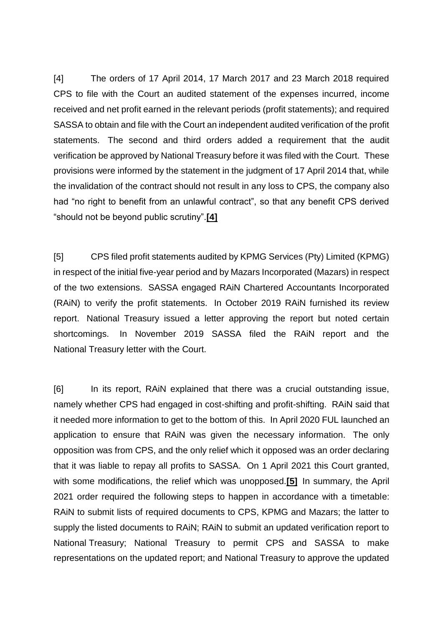[4] The orders of 17 April 2014, 17 March 2017 and 23 March 2018 required CPS to file with the Court an audited statement of the expenses incurred, income received and net profit earned in the relevant periods (profit statements); and required SASSA to obtain and file with the Court an independent audited verification of the profit statements. The second and third orders added a requirement that the audit verification be approved by National Treasury before it was filed with the Court. These provisions were informed by the statement in the judgment of 17 April 2014 that, while the invalidation of the contract should not result in any loss to CPS, the company also had "no right to benefit from an unlawful contract", so that any benefit CPS derived "should not be beyond public scrutiny".**[\[4\]](http://www.saflii.org/za/cases/ZACC/2022/2.html#_ftn4)**

[5] CPS filed profit statements audited by KPMG Services (Pty) Limited (KPMG) in respect of the initial five-year period and by Mazars Incorporated (Mazars) in respect of the two extensions. SASSA engaged RAiN Chartered Accountants Incorporated (RAiN) to verify the profit statements. In October 2019 RAiN furnished its review report. National Treasury issued a letter approving the report but noted certain shortcomings. In November 2019 SASSA filed the RAiN report and the National Treasury letter with the Court.

[6] In its report, RAiN explained that there was a crucial outstanding issue, namely whether CPS had engaged in cost-shifting and profit-shifting. RAiN said that it needed more information to get to the bottom of this. In April 2020 FUL launched an application to ensure that RAiN was given the necessary information. The only opposition was from CPS, and the only relief which it opposed was an order declaring that it was liable to repay all profits to SASSA. On 1 April 2021 this Court granted, with some modifications, the relief which was unopposed.**[\[5\]](http://www.saflii.org/za/cases/ZACC/2022/2.html#_ftn5)** In summary, the April 2021 order required the following steps to happen in accordance with a timetable: RAiN to submit lists of required documents to CPS, KPMG and Mazars; the latter to supply the listed documents to RAiN; RAiN to submit an updated verification report to National Treasury; National Treasury to permit CPS and SASSA to make representations on the updated report; and National Treasury to approve the updated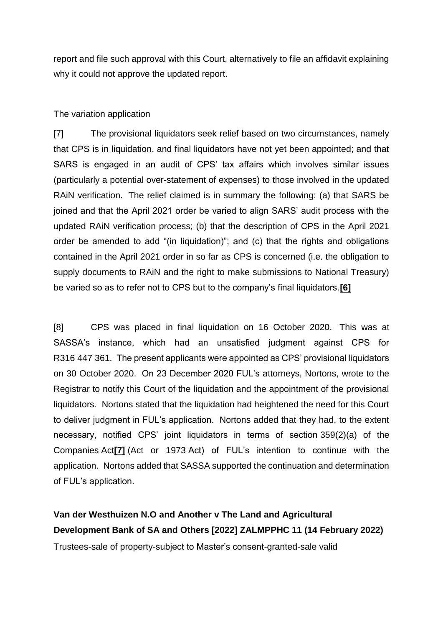report and file such approval with this Court, alternatively to file an affidavit explaining why it could not approve the updated report.

#### The variation application

[7] The provisional liquidators seek relief based on two circumstances, namely that CPS is in liquidation, and final liquidators have not yet been appointed; and that SARS is engaged in an audit of CPS' tax affairs which involves similar issues (particularly a potential over-statement of expenses) to those involved in the updated RAiN verification. The relief claimed is in summary the following: (a) that SARS be joined and that the April 2021 order be varied to align SARS' audit process with the updated RAiN verification process; (b) that the description of CPS in the April 2021 order be amended to add "(in liquidation)"; and (c) that the rights and obligations contained in the April 2021 order in so far as CPS is concerned (i.e. the obligation to supply documents to RAiN and the right to make submissions to National Treasury) be varied so as to refer not to CPS but to the company's final liquidators.**[\[6\]](http://www.saflii.org/za/cases/ZACC/2022/2.html#_ftn6)**

[8] CPS was placed in final liquidation on 16 October 2020. This was at SASSA's instance, which had an unsatisfied judgment against CPS for R316 447 361. The present applicants were appointed as CPS' provisional liquidators on 30 October 2020. On 23 December 2020 FUL's attorneys, Nortons, wrote to the Registrar to notify this Court of the liquidation and the appointment of the provisional liquidators. Nortons stated that the liquidation had heightened the need for this Court to deliver judgment in FUL's application. Nortons added that they had, to the extent necessary, notified CPS' joint liquidators in terms of section 359(2)(a) of the Companies Act**[\[7\]](http://www.saflii.org/za/cases/ZACC/2022/2.html#_ftn7)** (Act or 1973 Act) of FUL's intention to continue with the application. Nortons added that SASSA supported the continuation and determination of FUL's application.

**[Van der Westhuizen N.O and Another v The Land and Agricultural](http://www.saflii.org/za/cases/ZALMPPHC/2022/11.html)  [Development Bank of SA and Others \[2022\] ZALMPPHC 11 \(14 February 2022\)](http://www.saflii.org/za/cases/ZALMPPHC/2022/11.html)** Trustees-sale of property-subject to Master's consent-granted-sale valid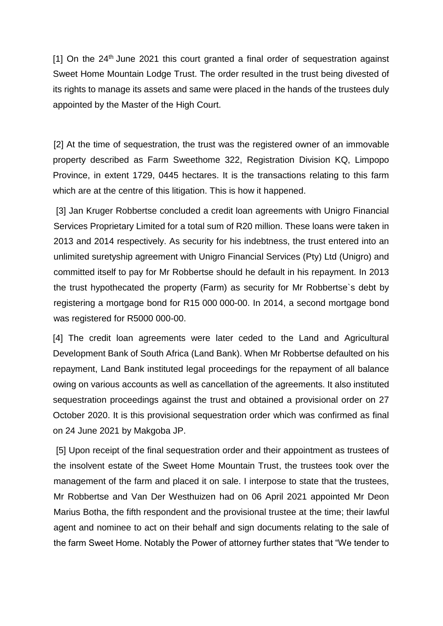$[1]$  On the 24<sup>th</sup> June 2021 this court granted a final order of sequestration against Sweet Home Mountain Lodge Trust. The order resulted in the trust being divested of its rights to manage its assets and same were placed in the hands of the trustees duly appointed by the Master of the High Court.

[2] At the time of sequestration, the trust was the registered owner of an immovable property described as Farm Sweethome 322, Registration Division KQ, Limpopo Province, in extent 1729, 0445 hectares. It is the transactions relating to this farm which are at the centre of this litigation. This is how it happened.

[3] Jan Kruger Robbertse concluded a credit loan agreements with Unigro Financial Services Proprietary Limited for a total sum of R20 million. These loans were taken in 2013 and 2014 respectively. As security for his indebtness, the trust entered into an unlimited suretyship agreement with Unigro Financial Services (Pty) Ltd (Unigro) and committed itself to pay for Mr Robbertse should he default in his repayment. In 2013 the trust hypothecated the property (Farm) as security for Mr Robbertse`s debt by registering a mortgage bond for R15 000 000-00. In 2014, a second mortgage bond was registered for R5000 000-00.

[4] The credit loan agreements were later ceded to the Land and Agricultural Development Bank of South Africa (Land Bank). When Mr Robbertse defaulted on his repayment, Land Bank instituted legal proceedings for the repayment of all balance owing on various accounts as well as cancellation of the agreements. It also instituted sequestration proceedings against the trust and obtained a provisional order on 27 October 2020. It is this provisional sequestration order which was confirmed as final on 24 June 2021 by Makgoba JP.

[5] Upon receipt of the final sequestration order and their appointment as trustees of the insolvent estate of the Sweet Home Mountain Trust, the trustees took over the management of the farm and placed it on sale. I interpose to state that the trustees, Mr Robbertse and Van Der Westhuizen had on 06 April 2021 appointed Mr Deon Marius Botha, the fifth respondent and the provisional trustee at the time; their lawful agent and nominee to act on their behalf and sign documents relating to the sale of the farm Sweet Home. Notably the Power of attorney further states that "We tender to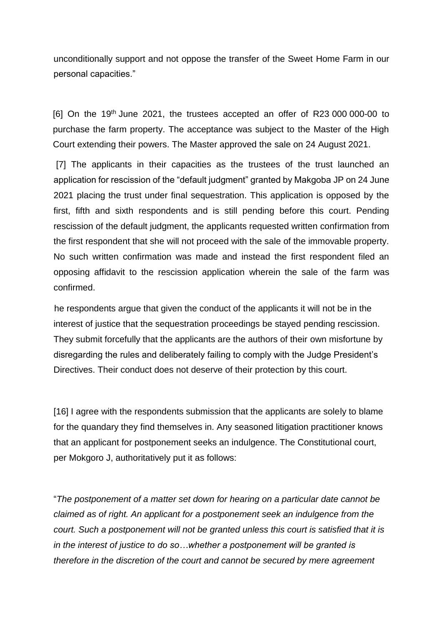unconditionally support and not oppose the transfer of the Sweet Home Farm in our personal capacities."

 $[6]$  On the 19<sup>th</sup> June 2021, the trustees accepted an offer of R23 000 000-00 to purchase the farm property. The acceptance was subject to the Master of the High Court extending their powers. The Master approved the sale on 24 August 2021.

[7] The applicants in their capacities as the trustees of the trust launched an application for rescission of the "default judgment" granted by Makgoba JP on 24 June 2021 placing the trust under final sequestration. This application is opposed by the first, fifth and sixth respondents and is still pending before this court. Pending rescission of the default judgment, the applicants requested written confirmation from the first respondent that she will not proceed with the sale of the immovable property. No such written confirmation was made and instead the first respondent filed an opposing affidavit to the rescission application wherein the sale of the farm was confirmed.

he respondents argue that given the conduct of the applicants it will not be in the interest of justice that the sequestration proceedings be stayed pending rescission. They submit forcefully that the applicants are the authors of their own misfortune by disregarding the rules and deliberately failing to comply with the Judge President's Directives. Their conduct does not deserve of their protection by this court.

[16] I agree with the respondents submission that the applicants are solely to blame for the quandary they find themselves in. Any seasoned litigation practitioner knows that an applicant for postponement seeks an indulgence. The Constitutional court, per Mokgoro J, authoritatively put it as follows:

"*The postponement of a matter set down for hearing on a particular date cannot be claimed as of right. An applicant for a postponement seek an indulgence from the court. Such a postponement will not be granted unless this court is satisfied that it is in the interest of justice to do so…whether a postponement will be granted is therefore in the discretion of the court and cannot be secured by mere agreement*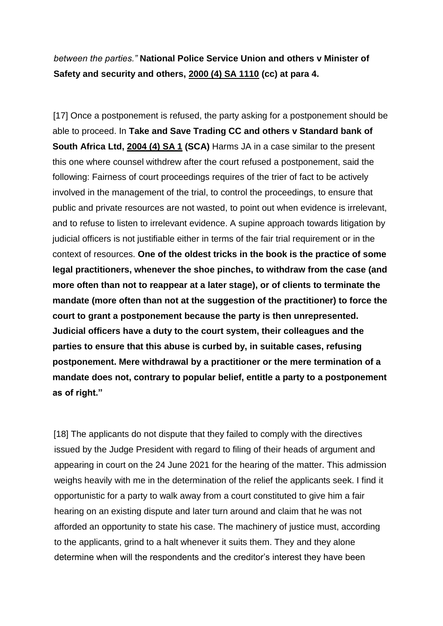## *between the parties."* **National Police Service Union and others v Minister of Safety and security and others, [2000 \(4\) SA 1110](http://www.saflii.org/cgi-bin/LawCite?cit=2000%20%284%29%20SA%201110) (cc) at para 4.**

[17] Once a postponement is refused, the party asking for a postponement should be able to proceed. In **Take and Save Trading CC and others v Standard bank of South Africa Ltd, [2004 \(4\) SA 1](http://www.saflii.org/cgi-bin/LawCite?cit=2004%20%284%29%20SA%201) (SCA)** Harms JA in a case similar to the present this one where counsel withdrew after the court refused a postponement, said the following: Fairness of court proceedings requires of the trier of fact to be actively involved in the management of the trial, to control the proceedings, to ensure that public and private resources are not wasted, to point out when evidence is irrelevant, and to refuse to listen to irrelevant evidence. A supine approach towards litigation by judicial officers is not justifiable either in terms of the fair trial requirement or in the context of resources. **One of the oldest tricks in the book is the practice of some legal practitioners, whenever the shoe pinches, to withdraw from the case (and more often than not to reappear at a later stage), or of clients to terminate the mandate (more often than not at the suggestion of the practitioner) to force the court to grant a postponement because the party is then unrepresented. Judicial officers have a duty to the court system, their colleagues and the parties to ensure that this abuse is curbed by, in suitable cases, refusing postponement. Mere withdrawal by a practitioner or the mere termination of a mandate does not, contrary to popular belief, entitle a party to a postponement as of right."**

[18] The applicants do not dispute that they failed to comply with the directives issued by the Judge President with regard to filing of their heads of argument and appearing in court on the 24 June 2021 for the hearing of the matter. This admission weighs heavily with me in the determination of the relief the applicants seek. I find it opportunistic for a party to walk away from a court constituted to give him a fair hearing on an existing dispute and later turn around and claim that he was not afforded an opportunity to state his case. The machinery of justice must, according to the applicants, grind to a halt whenever it suits them. They and they alone determine when will the respondents and the creditor's interest they have been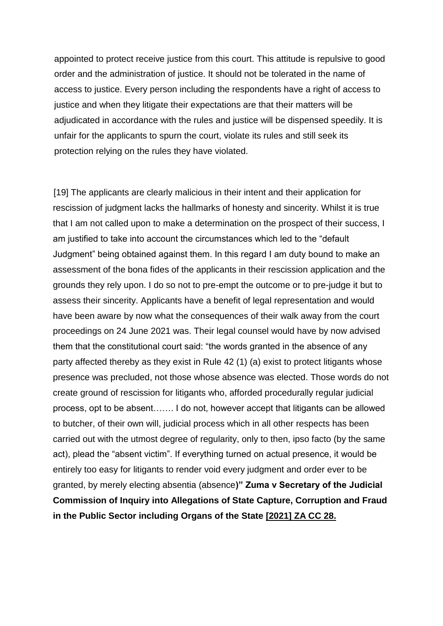appointed to protect receive justice from this court. This attitude is repulsive to good order and the administration of justice. It should not be tolerated in the name of access to justice. Every person including the respondents have a right of access to justice and when they litigate their expectations are that their matters will be adjudicated in accordance with the rules and justice will be dispensed speedily. It is unfair for the applicants to spurn the court, violate its rules and still seek its protection relying on the rules they have violated.

[19] The applicants are clearly malicious in their intent and their application for rescission of judgment lacks the hallmarks of honesty and sincerity. Whilst it is true that I am not called upon to make a determination on the prospect of their success, I am justified to take into account the circumstances which led to the "default Judgment" being obtained against them. In this regard I am duty bound to make an assessment of the bona fides of the applicants in their rescission application and the grounds they rely upon. I do so not to pre-empt the outcome or to pre-judge it but to assess their sincerity. Applicants have a benefit of legal representation and would have been aware by now what the consequences of their walk away from the court proceedings on 24 June 2021 was. Their legal counsel would have by now advised them that the constitutional court said: "the words granted in the absence of any party affected thereby as they exist in Rule 42 (1) (a) exist to protect litigants whose presence was precluded, not those whose absence was elected. Those words do not create ground of rescission for litigants who, afforded procedurally regular judicial process, opt to be absent……. I do not, however accept that litigants can be allowed to butcher, of their own will, judicial process which in all other respects has been carried out with the utmost degree of regularity, only to then, ipso facto (by the same act), plead the "absent victim". If everything turned on actual presence, it would be entirely too easy for litigants to render void every judgment and order ever to be granted, by merely electing absentia (absence**)" Zuma v Secretary of the Judicial Commission of Inquiry into Allegations of State Capture, Corruption and Fraud in the Public Sector including Organs of the State [\[2021\] ZA CC 28.](http://www.saflii.org/cgi-bin/LawCite?cit=%5b2021%5d%20ZA%20CC%2028)**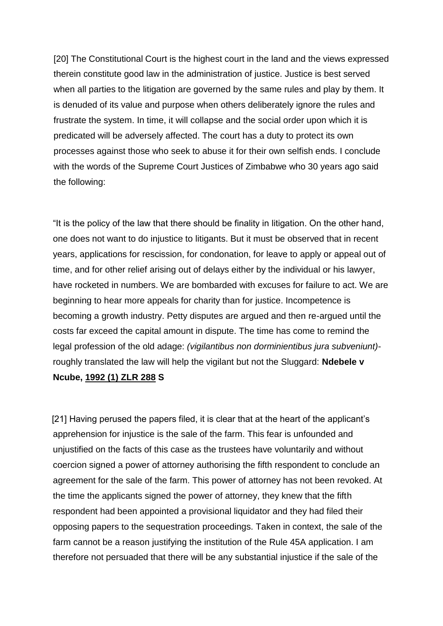[20] The Constitutional Court is the highest court in the land and the views expressed therein constitute good law in the administration of justice. Justice is best served when all parties to the litigation are governed by the same rules and play by them. It is denuded of its value and purpose when others deliberately ignore the rules and frustrate the system. In time, it will collapse and the social order upon which it is predicated will be adversely affected. The court has a duty to protect its own processes against those who seek to abuse it for their own selfish ends. I conclude with the words of the Supreme Court Justices of Zimbabwe who 30 years ago said the following:

"It is the policy of the law that there should be finality in litigation. On the other hand, one does not want to do injustice to litigants. But it must be observed that in recent years, applications for rescission, for condonation, for leave to apply or appeal out of time, and for other relief arising out of delays either by the individual or his lawyer, have rocketed in numbers. We are bombarded with excuses for failure to act. We are beginning to hear more appeals for charity than for justice. Incompetence is becoming a growth industry. Petty disputes are argued and then re-argued until the costs far exceed the capital amount in dispute. The time has come to remind the legal profession of the old adage: *(vigilantibus non dorminientibus jura subveniunt)* roughly translated the law will help the vigilant but not the Sluggard: **Ndebele v Ncube, [1992 \(1\) ZLR 288](http://www.saflii.org/cgi-bin/LawCite?cit=1992%20%281%29%20ZR%20288) S**

[21] Having perused the papers filed, it is clear that at the heart of the applicant's apprehension for injustice is the sale of the farm. This fear is unfounded and unjustified on the facts of this case as the trustees have voluntarily and without coercion signed a power of attorney authorising the fifth respondent to conclude an agreement for the sale of the farm. This power of attorney has not been revoked. At the time the applicants signed the power of attorney, they knew that the fifth respondent had been appointed a provisional liquidator and they had filed their opposing papers to the sequestration proceedings. Taken in context, the sale of the farm cannot be a reason justifying the institution of the Rule 45A application. I am therefore not persuaded that there will be any substantial injustice if the sale of the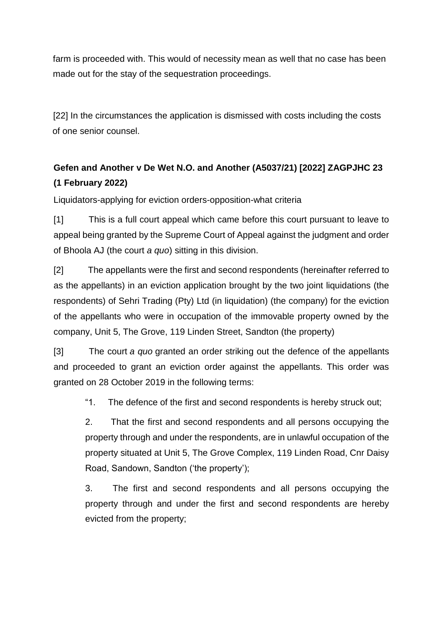farm is proceeded with. This would of necessity mean as well that no case has been made out for the stay of the sequestration proceedings.

[22] In the circumstances the application is dismissed with costs including the costs of one senior counsel.

# **[Gefen and Another v De Wet N.O. and Another \(A5037/21\) \[2022\] ZAGPJHC 23](http://www.saflii.org/za/cases/ZAGPJHC/2022/23.html)  [\(1 February 2022\)](http://www.saflii.org/za/cases/ZAGPJHC/2022/23.html)**

Liquidators-applying for eviction orders-opposition-what criteria

[1] This is a full court appeal which came before this court pursuant to leave to appeal being granted by the Supreme Court of Appeal against the judgment and order of Bhoola AJ (the court *a quo*) sitting in this division.

[2] The appellants were the first and second respondents (hereinafter referred to as the appellants) in an eviction application brought by the two joint liquidations (the respondents) of Sehri Trading (Pty) Ltd (in liquidation) (the company) for the eviction of the appellants who were in occupation of the immovable property owned by the company, Unit 5, The Grove, 119 Linden Street, Sandton (the property)

[3] The court *a quo* granted an order striking out the defence of the appellants and proceeded to grant an eviction order against the appellants. This order was granted on 28 October 2019 in the following terms:

"1. The defence of the first and second respondents is hereby struck out;

2. That the first and second respondents and all persons occupying the property through and under the respondents, are in unlawful occupation of the property situated at Unit 5, The Grove Complex, 119 Linden Road, Cnr Daisy Road, Sandown, Sandton ('the property');

3. The first and second respondents and all persons occupying the property through and under the first and second respondents are hereby evicted from the property;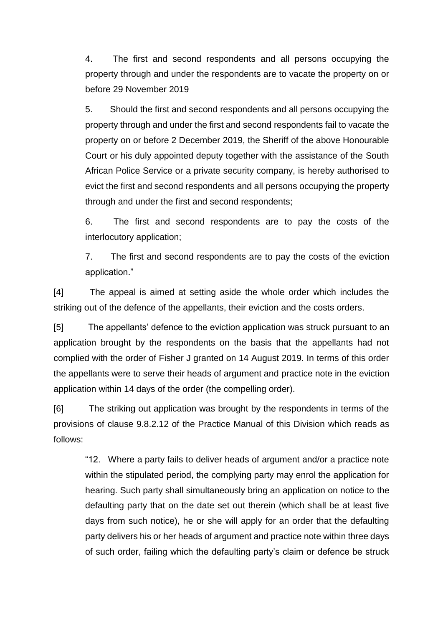4. The first and second respondents and all persons occupying the property through and under the respondents are to vacate the property on or before 29 November 2019

5. Should the first and second respondents and all persons occupying the property through and under the first and second respondents fail to vacate the property on or before 2 December 2019, the Sheriff of the above Honourable Court or his duly appointed deputy together with the assistance of the South African Police Service or a private security company, is hereby authorised to evict the first and second respondents and all persons occupying the property through and under the first and second respondents;

6. The first and second respondents are to pay the costs of the interlocutory application;

7. The first and second respondents are to pay the costs of the eviction application."

[4] The appeal is aimed at setting aside the whole order which includes the striking out of the defence of the appellants, their eviction and the costs orders.

[5] The appellants' defence to the eviction application was struck pursuant to an application brought by the respondents on the basis that the appellants had not complied with the order of Fisher J granted on 14 August 2019. In terms of this order the appellants were to serve their heads of argument and practice note in the eviction application within 14 days of the order (the compelling order).

[6] The striking out application was brought by the respondents in terms of the provisions of clause 9.8.2.12 of the Practice Manual of this Division which reads as follows:

"12. Where a party fails to deliver heads of argument and/or a practice note within the stipulated period, the complying party may enrol the application for hearing. Such party shall simultaneously bring an application on notice to the defaulting party that on the date set out therein (which shall be at least five days from such notice), he or she will apply for an order that the defaulting party delivers his or her heads of argument and practice note within three days of such order, failing which the defaulting party's claim or defence be struck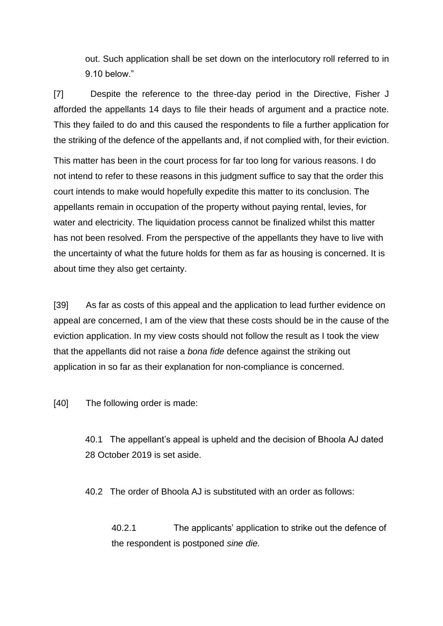out. Such application shall be set down on the interlocutory roll referred to in 9.10 below."

[7] Despite the reference to the three-day period in the Directive, Fisher J afforded the appellants 14 days to file their heads of argument and a practice note. This they failed to do and this caused the respondents to file a further application for the striking of the defence of the appellants and, if not complied with, for their eviction.

This matter has been in the court process for far too long for various reasons. I do not intend to refer to these reasons in this judgment suffice to say that the order this court intends to make would hopefully expedite this matter to its conclusion. The appellants remain in occupation of the property without paying rental, levies, for water and electricity. The liquidation process cannot be finalized whilst this matter has not been resolved. From the perspective of the appellants they have to live with the uncertainty of what the future holds for them as far as housing is concerned. It is about time they also get certainty.

[39] As far as costs of this appeal and the application to lead further evidence on appeal are concerned, I am of the view that these costs should be in the cause of the eviction application. In my view costs should not follow the result as I took the view that the appellants did not raise a *bona fide* defence against the striking out application in so far as their explanation for non-compliance is concerned.

[40] The following order is made:

40.1 The appellant's appeal is upheld and the decision of Bhoola AJ dated 28 October 2019 is set aside.

40.2 The order of Bhoola AJ is substituted with an order as follows:

40.2.1 The applicants' application to strike out the defence of the respondent is postponed *sine die.*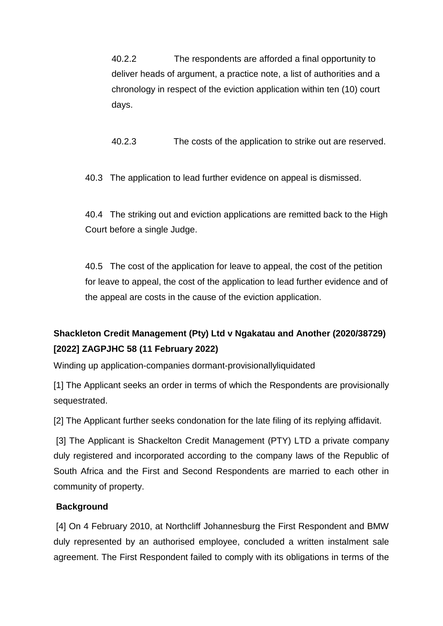40.2.2 The respondents are afforded a final opportunity to deliver heads of argument, a practice note, a list of authorities and a chronology in respect of the eviction application within ten (10) court days.

40.2.3 The costs of the application to strike out are reserved.

40.3 The application to lead further evidence on appeal is dismissed.

40.4 The striking out and eviction applications are remitted back to the High Court before a single Judge.

40.5 The cost of the application for leave to appeal, the cost of the petition for leave to appeal, the cost of the application to lead further evidence and of the appeal are costs in the cause of the eviction application.

# **[Shackleton Credit Management \(Pty\) Ltd v Ngakatau and Another \(2020/38729\)](http://www.saflii.org/za/cases/ZAGPJHC/2022/58.html)  [\[2022\] ZAGPJHC 58 \(11 February 2022\)](http://www.saflii.org/za/cases/ZAGPJHC/2022/58.html)**

Winding up application-companies dormant-provisionallyliquidated

[1] The Applicant seeks an order in terms of which the Respondents are provisionally sequestrated.

[2] The Applicant further seeks condonation for the late filing of its replying affidavit.

[3] The Applicant is Shackelton Credit Management (PTY) LTD a private company duly registered and incorporated according to the company laws of the Republic of South Africa and the First and Second Respondents are married to each other in community of property.

### **Background**

[4] On 4 February 2010, at Northcliff Johannesburg the First Respondent and BMW duly represented by an authorised employee, concluded a written instalment sale agreement. The First Respondent failed to comply with its obligations in terms of the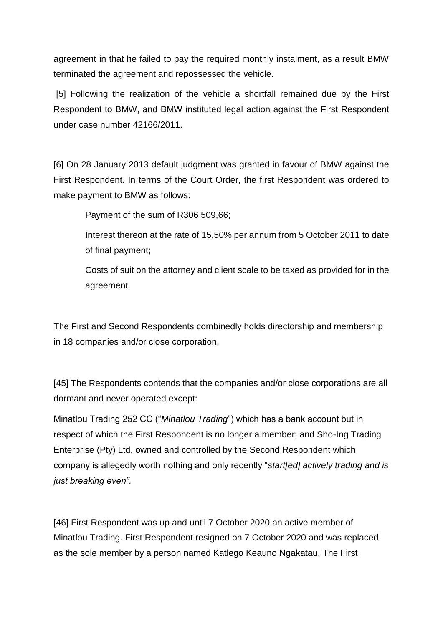agreement in that he failed to pay the required monthly instalment, as a result BMW terminated the agreement and repossessed the vehicle.

[5] Following the realization of the vehicle a shortfall remained due by the First Respondent to BMW, and BMW instituted legal action against the First Respondent under case number 42166/2011.

[6] On 28 January 2013 default judgment was granted in favour of BMW against the First Respondent. In terms of the Court Order, the first Respondent was ordered to make payment to BMW as follows:

Payment of the sum of R306 509,66;

Interest thereon at the rate of 15,50% per annum from 5 October 2011 to date of final payment;

Costs of suit on the attorney and client scale to be taxed as provided for in the agreement.

The First and Second Respondents combinedly holds directorship and membership in 18 companies and/or close corporation.

[45] The Respondents contends that the companies and/or close corporations are all dormant and never operated except:

Minatlou Trading 252 CC ("*Minatlou Trading*") which has a bank account but in respect of which the First Respondent is no longer a member; and Sho-Ing Trading Enterprise (Pty) Ltd, owned and controlled by the Second Respondent which company is allegedly worth nothing and only recently "*start[ed] actively trading and is just breaking even".*

[46] First Respondent was up and until 7 October 2020 an active member of Minatlou Trading. First Respondent resigned on 7 October 2020 and was replaced as the sole member by a person named Katlego Keauno Ngakatau. The First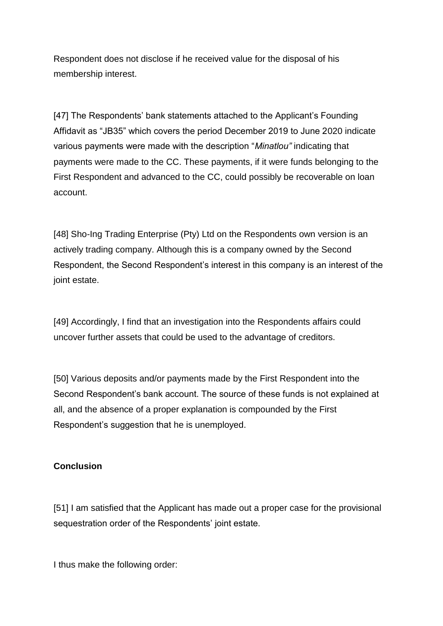Respondent does not disclose if he received value for the disposal of his membership interest.

[47] The Respondents' bank statements attached to the Applicant's Founding Affidavit as "JB35" which covers the period December 2019 to June 2020 indicate various payments were made with the description "*Minatlou"* indicating that payments were made to the CC. These payments, if it were funds belonging to the First Respondent and advanced to the CC, could possibly be recoverable on loan account.

[48] Sho-Ing Trading Enterprise (Pty) Ltd on the Respondents own version is an actively trading company. Although this is a company owned by the Second Respondent, the Second Respondent's interest in this company is an interest of the joint estate.

[49] Accordingly, I find that an investigation into the Respondents affairs could uncover further assets that could be used to the advantage of creditors.

[50] Various deposits and/or payments made by the First Respondent into the Second Respondent's bank account. The source of these funds is not explained at all, and the absence of a proper explanation is compounded by the First Respondent's suggestion that he is unemployed.

### **Conclusion**

[51] I am satisfied that the Applicant has made out a proper case for the provisional sequestration order of the Respondents' joint estate.

I thus make the following order: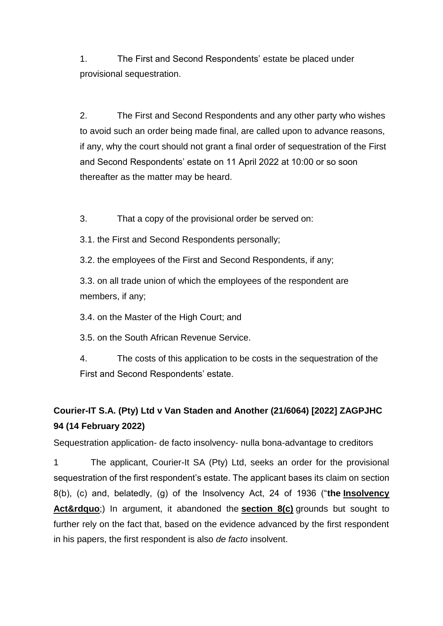1. The First and Second Respondents' estate be placed under provisional sequestration.

2. The First and Second Respondents and any other party who wishes to avoid such an order being made final, are called upon to advance reasons, if any, why the court should not grant a final order of sequestration of the First and Second Respondents' estate on 11 April 2022 at 10:00 or so soon thereafter as the matter may be heard.

3. That a copy of the provisional order be served on:

3.1. the First and Second Respondents personally;

3.2. the employees of the First and Second Respondents, if any;

3.3. on all trade union of which the employees of the respondent are members, if any;

3.4. on the Master of the High Court; and

3.5. on the South African Revenue Service.

4. The costs of this application to be costs in the sequestration of the First and Second Respondents' estate.

# **[Courier-IT S.A. \(Pty\) Ltd v Van Staden and Another \(21/6064\) \[2022\] ZAGPJHC](http://www.saflii.org/za/cases/ZAGPJHC/2022/94.html)  [94 \(14 February 2022\)](http://www.saflii.org/za/cases/ZAGPJHC/2022/94.html)**

Sequestration application- de facto insolvency- nulla bona-advantage to creditors

1 The applicant, Courier-It SA (Pty) Ltd, seeks an order for the provisional sequestration of the first respondent's estate. The applicant bases its claim on section 8(b), (c) and, belatedly, (g) of the Insolvency Act, 24 of 1936 ("**the [Insolvency](http://www.saflii.org/za/legis/consol_act/ia1936149/)  [Act&rdquo](http://www.saflii.org/za/legis/consol_act/ia1936149/)**;) In argument, it abandoned the **[section 8\(c\)](http://www.saflii.org/za/legis/consol_act/ia1936149/index.html#s8)** grounds but sought to further rely on the fact that, based on the evidence advanced by the first respondent in his papers, the first respondent is also *de facto* insolvent.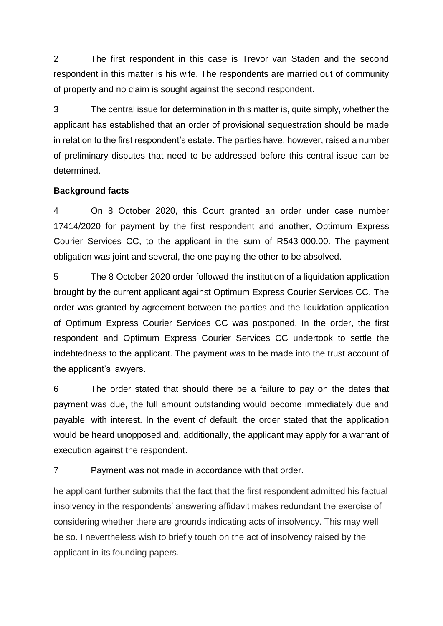2 The first respondent in this case is Trevor van Staden and the second respondent in this matter is his wife. The respondents are married out of community of property and no claim is sought against the second respondent.

3 The central issue for determination in this matter is, quite simply, whether the applicant has established that an order of provisional sequestration should be made in relation to the first respondent's estate. The parties have, however, raised a number of preliminary disputes that need to be addressed before this central issue can be determined.

#### **Background facts**

4 On 8 October 2020, this Court granted an order under case number 17414/2020 for payment by the first respondent and another, Optimum Express Courier Services CC, to the applicant in the sum of R543 000.00. The payment obligation was joint and several, the one paying the other to be absolved.

5 The 8 October 2020 order followed the institution of a liquidation application brought by the current applicant against Optimum Express Courier Services CC. The order was granted by agreement between the parties and the liquidation application of Optimum Express Courier Services CC was postponed. In the order, the first respondent and Optimum Express Courier Services CC undertook to settle the indebtedness to the applicant. The payment was to be made into the trust account of the applicant's lawyers.

6 The order stated that should there be a failure to pay on the dates that payment was due, the full amount outstanding would become immediately due and payable, with interest. In the event of default, the order stated that the application would be heard unopposed and, additionally, the applicant may apply for a warrant of execution against the respondent.

7 Payment was not made in accordance with that order.

he applicant further submits that the fact that the first respondent admitted his factual insolvency in the respondents' answering affidavit makes redundant the exercise of considering whether there are grounds indicating acts of insolvency. This may well be so. I nevertheless wish to briefly touch on the act of insolvency raised by the applicant in its founding papers.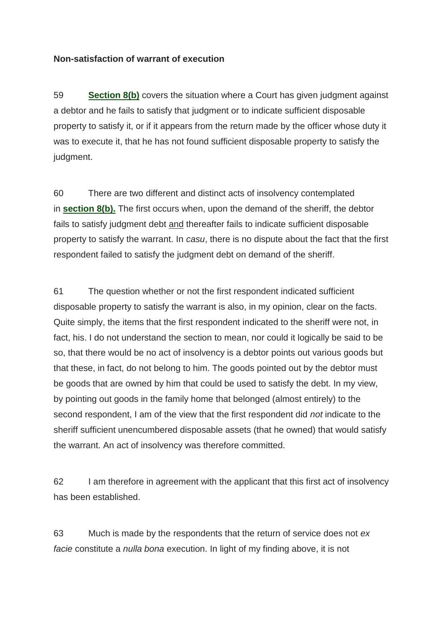#### **Non-satisfaction of warrant of execution**

59 **[Section 8\(b\)](http://www.saflii.org/za/legis/consol_act/ia1936149/index.html#s8)** covers the situation where a Court has given judgment against a debtor and he fails to satisfy that judgment or to indicate sufficient disposable property to satisfy it, or if it appears from the return made by the officer whose duty it was to execute it, that he has not found sufficient disposable property to satisfy the judgment.

60 There are two different and distinct acts of insolvency contemplated in **[section](http://www.saflii.org/za/legis/consol_act/ia1936149/index.html#s8) 8(b).** The first occurs when, upon the demand of the sheriff, the debtor fails to satisfy judgment debt and thereafter fails to indicate sufficient disposable property to satisfy the warrant. In *casu*, there is no dispute about the fact that the first respondent failed to satisfy the judgment debt on demand of the sheriff.

61 The question whether or not the first respondent indicated sufficient disposable property to satisfy the warrant is also, in my opinion, clear on the facts. Quite simply, the items that the first respondent indicated to the sheriff were not, in fact, his. I do not understand the section to mean, nor could it logically be said to be so, that there would be no act of insolvency is a debtor points out various goods but that these, in fact, do not belong to him. The goods pointed out by the debtor must be goods that are owned by him that could be used to satisfy the debt. In my view, by pointing out goods in the family home that belonged (almost entirely) to the second respondent, I am of the view that the first respondent did *not* indicate to the sheriff sufficient unencumbered disposable assets (that he owned) that would satisfy the warrant. An act of insolvency was therefore committed.

62 I am therefore in agreement with the applicant that this first act of insolvency has been established.

63 Much is made by the respondents that the return of service does not *ex facie* constitute a *nulla bona* execution. In light of my finding above, it is not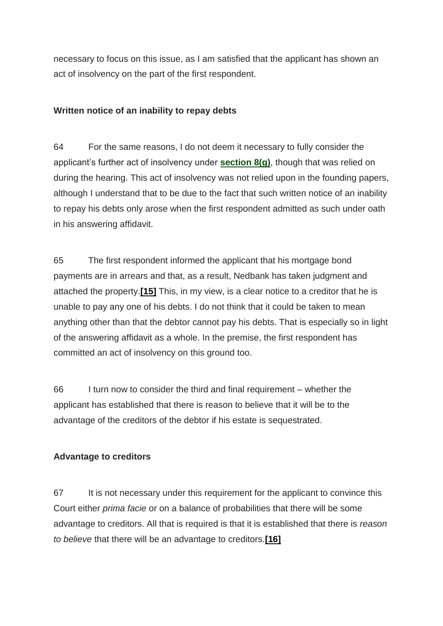necessary to focus on this issue, as I am satisfied that the applicant has shown an act of insolvency on the part of the first respondent.

### **Written notice of an inability to repay debts**

64 For the same reasons, I do not deem it necessary to fully consider the applicant's further act of insolvency under **[section 8\(g\)](http://www.saflii.org/za/legis/consol_act/ia1936149/index.html#s8)**, though that was relied on during the hearing. This act of insolvency was not relied upon in the founding papers, although I understand that to be due to the fact that such written notice of an inability to repay his debts only arose when the first respondent admitted as such under oath in his answering affidavit.

65 The first respondent informed the applicant that his mortgage bond payments are in arrears and that, as a result, Nedbank has taken judgment and attached the property.**[\[15\]](http://www.saflii.org/za/cases/ZAGPJHC/2022/94.html#_ftn15)** This, in my view, is a clear notice to a creditor that he is unable to pay any one of his debts. I do not think that it could be taken to mean anything other than that the debtor cannot pay his debts. That is especially so in light of the answering affidavit as a whole. In the premise, the first respondent has committed an act of insolvency on this ground too.

66 I turn now to consider the third and final requirement – whether the applicant has established that there is reason to believe that it will be to the advantage of the creditors of the debtor if his estate is sequestrated.

### **Advantage to creditors**

67 It is not necessary under this requirement for the applicant to convince this Court either *prima facie* or on a balance of probabilities that there will be some advantage to creditors. All that is required is that it is established that there is *reason to believe* that there will be an advantage to creditors.**[\[16\]](http://www.saflii.org/za/cases/ZAGPJHC/2022/94.html#_ftn16)**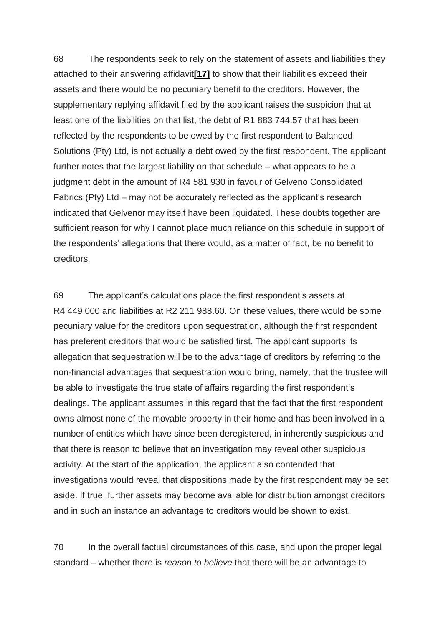68 The respondents seek to rely on the statement of assets and liabilities they attached to their answering affidavit**[\[17\]](http://www.saflii.org/za/cases/ZAGPJHC/2022/94.html#_ftn17)** to show that their liabilities exceed their assets and there would be no pecuniary benefit to the creditors. However, the supplementary replying affidavit filed by the applicant raises the suspicion that at least one of the liabilities on that list, the debt of R1 883 744.57 that has been reflected by the respondents to be owed by the first respondent to Balanced Solutions (Pty) Ltd, is not actually a debt owed by the first respondent. The applicant further notes that the largest liability on that schedule – what appears to be a judgment debt in the amount of R4 581 930 in favour of Gelveno Consolidated Fabrics (Pty) Ltd – may not be accurately reflected as the applicant's research indicated that Gelvenor may itself have been liquidated. These doubts together are sufficient reason for why I cannot place much reliance on this schedule in support of the respondents' allegations that there would, as a matter of fact, be no benefit to creditors.

69 The applicant's calculations place the first respondent's assets at R4 449 000 and liabilities at R2 211 988.60. On these values, there would be some pecuniary value for the creditors upon sequestration, although the first respondent has preferent creditors that would be satisfied first. The applicant supports its allegation that sequestration will be to the advantage of creditors by referring to the non-financial advantages that sequestration would bring, namely, that the trustee will be able to investigate the true state of affairs regarding the first respondent's dealings. The applicant assumes in this regard that the fact that the first respondent owns almost none of the movable property in their home and has been involved in a number of entities which have since been deregistered, in inherently suspicious and that there is reason to believe that an investigation may reveal other suspicious activity. At the start of the application, the applicant also contended that investigations would reveal that dispositions made by the first respondent may be set aside. If true, further assets may become available for distribution amongst creditors and in such an instance an advantage to creditors would be shown to exist.

70 In the overall factual circumstances of this case, and upon the proper legal standard – whether there is *reason to believe* that there will be an advantage to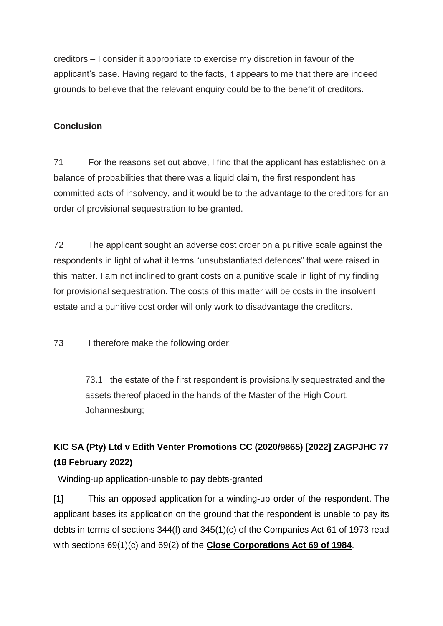creditors – I consider it appropriate to exercise my discretion in favour of the applicant's case. Having regard to the facts, it appears to me that there are indeed grounds to believe that the relevant enquiry could be to the benefit of creditors.

### **Conclusion**

71 For the reasons set out above, I find that the applicant has established on a balance of probabilities that there was a liquid claim, the first respondent has committed acts of insolvency, and it would be to the advantage to the creditors for an order of provisional sequestration to be granted.

72 The applicant sought an adverse cost order on a punitive scale against the respondents in light of what it terms "unsubstantiated defences" that were raised in this matter. I am not inclined to grant costs on a punitive scale in light of my finding for provisional sequestration. The costs of this matter will be costs in the insolvent estate and a punitive cost order will only work to disadvantage the creditors.

73 I therefore make the following order:

73.1 the estate of the first respondent is provisionally sequestrated and the assets thereof placed in the hands of the Master of the High Court, Johannesburg;

# **[KIC SA \(Pty\) Ltd v Edith Venter Promotions CC \(2020/9865\) \[2022\] ZAGPJHC 77](http://www.saflii.org/za/cases/ZAGPJHC/2022/77.html)  [\(18 February 2022\)](http://www.saflii.org/za/cases/ZAGPJHC/2022/77.html)**

Winding-up application-unable to pay debts-granted

[1] This an opposed application for a winding-up order of the respondent. The applicant bases its application on the ground that the respondent is unable to pay its debts in terms of sections 344(f) and 345(1)(c) of the Companies Act 61 of 1973 read with sections 69(1)(c) and 69(2) of the **[Close Corporations Act 69 of 1984](http://www.saflii.org/za/legis/consol_act/cca1984221/)**.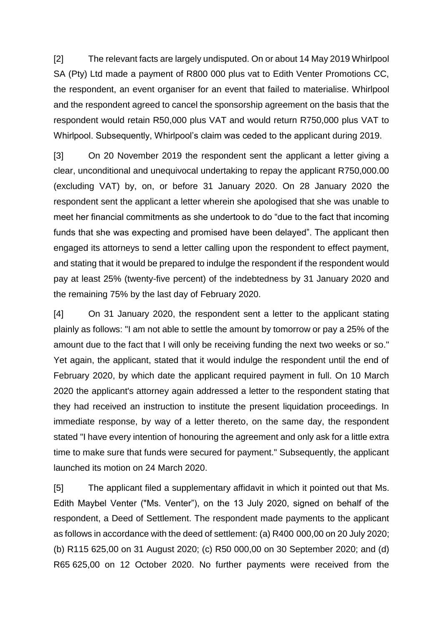[2] The relevant facts are largely undisputed. On or about 14 May 2019 Whirlpool SA (Pty) Ltd made a payment of R800 000 plus vat to Edith Venter Promotions CC, the respondent, an event organiser for an event that failed to materialise. Whirlpool and the respondent agreed to cancel the sponsorship agreement on the basis that the respondent would retain R50,000 plus VAT and would return R750,000 plus VAT to Whirlpool. Subsequently, Whirlpool's claim was ceded to the applicant during 2019.

[3] On 20 November 2019 the respondent sent the applicant a letter giving a clear, unconditional and unequivocal undertaking to repay the applicant R750,000.00 (excluding VAT) by, on, or before 31 January 2020. On 28 January 2020 the respondent sent the applicant a letter wherein she apologised that she was unable to meet her financial commitments as she undertook to do "due to the fact that incoming funds that she was expecting and promised have been delayed". The applicant then engaged its attorneys to send a letter calling upon the respondent to effect payment, and stating that it would be prepared to indulge the respondent if the respondent would pay at least 25% (twenty-five percent) of the indebtedness by 31 January 2020 and the remaining 75% by the last day of February 2020.

[4] On 31 January 2020, the respondent sent a letter to the applicant stating plainly as follows: "I am not able to settle the amount by tomorrow or pay a 25% of the amount due to the fact that I will only be receiving funding the next two weeks or so." Yet again, the applicant, stated that it would indulge the respondent until the end of February 2020, by which date the applicant required payment in full. On 10 March 2020 the applicant's attorney again addressed a letter to the respondent stating that they had received an instruction to institute the present liquidation proceedings. In immediate response, by way of a letter thereto, on the same day, the respondent stated "I have every intention of honouring the agreement and only ask for a little extra time to make sure that funds were secured for payment." Subsequently, the applicant launched its motion on 24 March 2020.

[5] The applicant filed a supplementary affidavit in which it pointed out that Ms. Edith Maybel Venter ("Ms. Venter"), on the 13 July 2020, signed on behalf of the respondent, a Deed of Settlement. The respondent made payments to the applicant as follows in accordance with the deed of settlement: (a) R400 000,00 on 20 July 2020; (b) R115 625,00 on 31 August 2020; (c) R50 000,00 on 30 September 2020; and (d) R65 625,00 on 12 October 2020. No further payments were received from the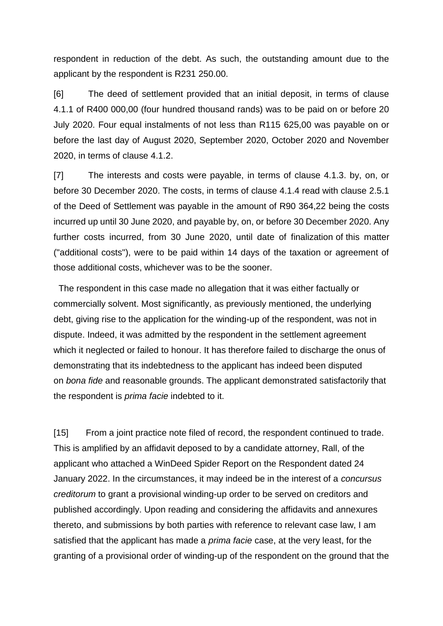respondent in reduction of the debt. As such, the outstanding amount due to the applicant by the respondent is R231 250.00.

[6] The deed of settlement provided that an initial deposit, in terms of clause 4.1.1 of R400 000,00 (four hundred thousand rands) was to be paid on or before 20 July 2020. Four equal instalments of not less than R115 625,00 was payable on or before the last day of August 2020, September 2020, October 2020 and November 2020, in terms of clause 4.1.2.

[7] The interests and costs were payable, in terms of clause 4.1.3. by, on, or before 30 December 2020. The costs, in terms of clause 4.1.4 read with clause 2.5.1 of the Deed of Settlement was payable in the amount of R90 364,22 being the costs incurred up until 30 June 2020, and payable by, on, or before 30 December 2020. Any further costs incurred, from 30 June 2020, until date of finalization of this matter ("additional costs"), were to be paid within 14 days of the taxation or agreement of those additional costs, whichever was to be the sooner.

 The respondent in this case made no allegation that it was either factually or commercially solvent. Most significantly, as previously mentioned, the underlying debt, giving rise to the application for the winding-up of the respondent, was not in dispute. Indeed, it was admitted by the respondent in the settlement agreement which it neglected or failed to honour. It has therefore failed to discharge the onus of demonstrating that its indebtedness to the applicant has indeed been disputed on *bona fide* and reasonable grounds. The applicant demonstrated satisfactorily that the respondent is *prima facie* indebted to it.

[15] From a joint practice note filed of record, the respondent continued to trade. This is amplified by an affidavit deposed to by a candidate attorney, Rall, of the applicant who attached a WinDeed Spider Report on the Respondent dated 24 January 2022. In the circumstances, it may indeed be in the interest of a *concursus creditorum* to grant a provisional winding-up order to be served on creditors and published accordingly. Upon reading and considering the affidavits and annexures thereto, and submissions by both parties with reference to relevant case law, I am satisfied that the applicant has made a *prima facie* case, at the very least, for the granting of a provisional order of winding-up of the respondent on the ground that the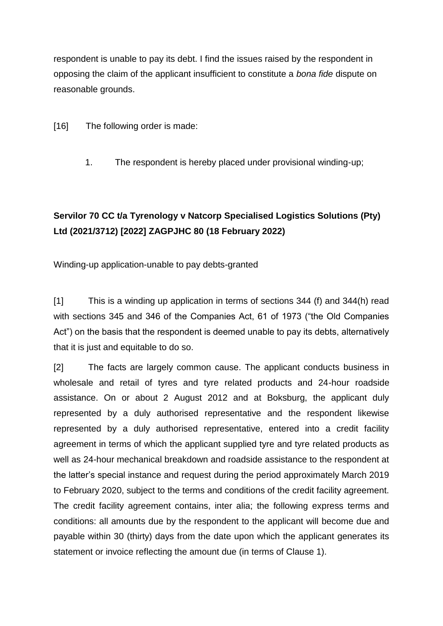respondent is unable to pay its debt. I find the issues raised by the respondent in opposing the claim of the applicant insufficient to constitute a *bona fide* dispute on reasonable grounds.

[16] The following order is made:

1. The respondent is hereby placed under provisional winding-up;

## **[Servilor 70 CC t/a Tyrenology v Natcorp](http://www.saflii.org/za/cases/ZAGPJHC/2022/80.html) Specialised Logistics Solutions (Pty) [Ltd \(2021/3712\) \[2022\] ZAGPJHC 80 \(18 February 2022\)](http://www.saflii.org/za/cases/ZAGPJHC/2022/80.html)**

Winding-up application-unable to pay debts-granted

[1] This is a winding up application in terms of sections 344 (f) and 344(h) read with sections 345 and 346 of the Companies Act, 61 of 1973 ("the Old Companies Act") on the basis that the respondent is deemed unable to pay its debts, alternatively that it is just and equitable to do so.

[2] The facts are largely common cause. The applicant conducts business in wholesale and retail of tyres and tyre related products and 24-hour roadside assistance. On or about 2 August 2012 and at Boksburg, the applicant duly represented by a duly authorised representative and the respondent likewise represented by a duly authorised representative, entered into a credit facility agreement in terms of which the applicant supplied tyre and tyre related products as well as 24-hour mechanical breakdown and roadside assistance to the respondent at the latter's special instance and request during the period approximately March 2019 to February 2020, subject to the terms and conditions of the credit facility agreement. The credit facility agreement contains, inter alia; the following express terms and conditions: all amounts due by the respondent to the applicant will become due and payable within 30 (thirty) days from the date upon which the applicant generates its statement or invoice reflecting the amount due (in terms of Clause 1).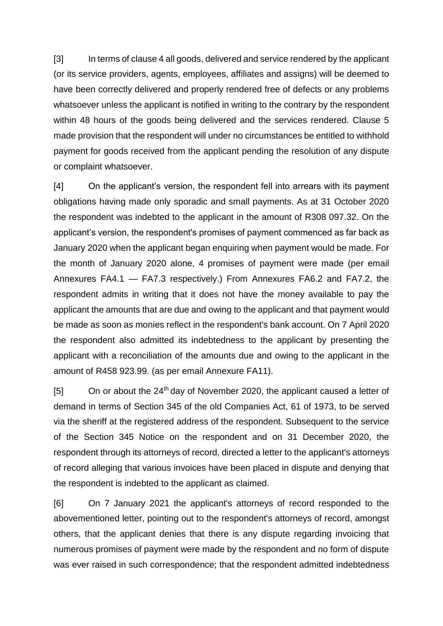[3] In terms of clause 4 all goods, delivered and service rendered by the applicant (or its service providers, agents, employees, affiliates and assigns) will be deemed to have been correctly delivered and properly rendered free of defects or any problems whatsoever unless the applicant is notified in writing to the contrary by the respondent within 48 hours of the goods being delivered and the services rendered. Clause 5 made provision that the respondent will under no circumstances be entitled to withhold payment for goods received from the applicant pending the resolution of any dispute or complaint whatsoever.

[4] On the applicant's version, the respondent fell into arrears with its payment obligations having made only sporadic and small payments. As at 31 October 2020 the respondent was indebted to the applicant in the amount of R308 097.32. On the applicant's version, the respondent's promises of payment commenced as far back as January 2020 when the applicant began enquiring when payment would be made. For the month of January 2020 alone, 4 promises of payment were made (per email Annexures FA4.1 — FA7.3 respectively.) From Annexures FA6.2 and FA7.2, the respondent admits in writing that it does not have the money available to pay the applicant the amounts that are due and owing to the applicant and that payment would be made as soon as monies reflect in the respondent's bank account. On 7 April 2020 the respondent also admitted its indebtedness to the applicant by presenting the applicant with a reconciliation of the amounts due and owing to the applicant in the amount of R458 923.99. (as per email Annexure FA11).

 $[5]$  On or about the 24<sup>th</sup> day of November 2020, the applicant caused a letter of demand in terms of Section 345 of the old Companies Act, 61 of 1973, to be served via the sheriff at the registered address of the respondent. Subsequent to the service of the Section 345 Notice on the respondent and on 31 December 2020, the respondent through its attorneys of record, directed a letter to the applicant's attorneys of record alleging that various invoices have been placed in dispute and denying that the respondent is indebted to the applicant as claimed.

[6] On 7 January 2021 the applicant's attorneys of record responded to the abovementioned letter, pointing out to the respondent's attorneys of record, amongst others, that the applicant denies that there is any dispute regarding invoicing that numerous promises of payment were made by the respondent and no form of dispute was ever raised in such correspondence; that the respondent admitted indebtedness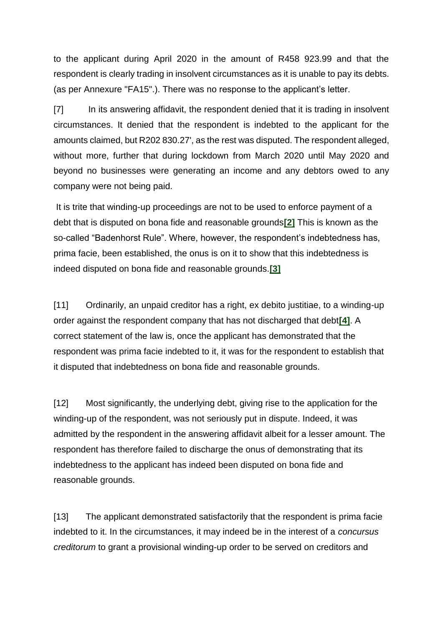to the applicant during April 2020 in the amount of R458 923.99 and that the respondent is clearly trading in insolvent circumstances as it is unable to pay its debts. (as per Annexure "FA15".). There was no response to the applicant's letter.

[7] In its answering affidavit, the respondent denied that it is trading in insolvent circumstances. It denied that the respondent is indebted to the applicant for the amounts claimed, but R202 830.27', as the rest was disputed. The respondent alleged, without more, further that during lockdown from March 2020 until May 2020 and beyond no businesses were generating an income and any debtors owed to any company were not being paid.

It is trite that winding-up proceedings are not to be used to enforce payment of a debt that is disputed on bona fide and reasonable grounds**[\[2\]](http://www.saflii.org/za/cases/ZAGPJHC/2022/80.html#_ftn2)** This is known as the so-called "Badenhorst Rule". Where, however, the respondent's indebtedness has, prima facie, been established, the onus is on it to show that this indebtedness is indeed disputed on bona fide and reasonable grounds.**[\[3\]](http://www.saflii.org/za/cases/ZAGPJHC/2022/80.html#_ftn3)**

[11] Ordinarily, an unpaid creditor has a right, ex debito justitiae, to a winding-up order against the respondent company that has not discharged that debt**[\[4\]](http://www.saflii.org/za/cases/ZAGPJHC/2022/80.html#_ftn4)**. A correct statement of the law is, once the applicant has demonstrated that the respondent was prima facie indebted to it, it was for the respondent to establish that it disputed that indebtedness on bona fide and reasonable grounds.

[12] Most significantly, the underlying debt, giving rise to the application for the winding-up of the respondent, was not seriously put in dispute. Indeed, it was admitted by the respondent in the answering affidavit albeit for a lesser amount. The respondent has therefore failed to discharge the onus of demonstrating that its indebtedness to the applicant has indeed been disputed on bona fide and reasonable grounds.

[13] The applicant demonstrated satisfactorily that the respondent is prima facie indebted to it. In the circumstances, it may indeed be in the interest of a *concursus creditorum* to grant a provisional winding-up order to be served on creditors and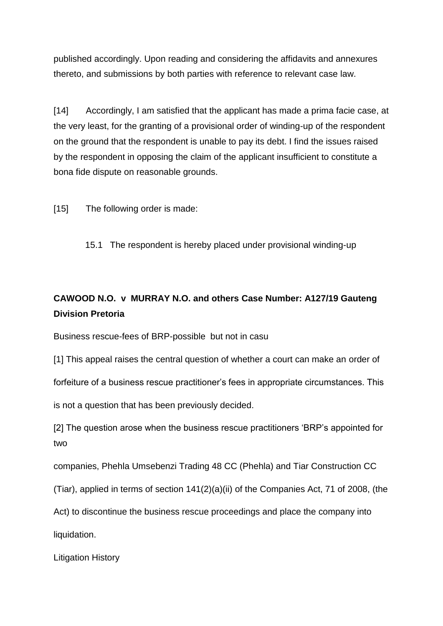published accordingly. Upon reading and considering the affidavits and annexures thereto, and submissions by both parties with reference to relevant case law.

[14] Accordingly, I am satisfied that the applicant has made a prima facie case, at the very least, for the granting of a provisional order of winding-up of the respondent on the ground that the respondent is unable to pay its debt. I find the issues raised by the respondent in opposing the claim of the applicant insufficient to constitute a bona fide dispute on reasonable grounds.

[15] The following order is made:

15.1 The respondent is hereby placed under provisional winding-up

# **CAWOOD N.O. v MURRAY N.O. and others Case Number: A127/19 Gauteng Division Pretoria**

Business rescue-fees of BRP-possible but not in casu

[1] This appeal raises the central question of whether a court can make an order of

forfeiture of a business rescue practitioner's fees in appropriate circumstances. This

is not a question that has been previously decided.

[2] The question arose when the business rescue practitioners 'BRP's appointed for two

companies, Phehla Umsebenzi Trading 48 CC (Phehla) and Tiar Construction CC

(Tiar), applied in terms of section 141(2)(a)(ii) of the Companies Act, 71 of 2008, (the

Act) to discontinue the business rescue proceedings and place the company into

liquidation.

Litigation History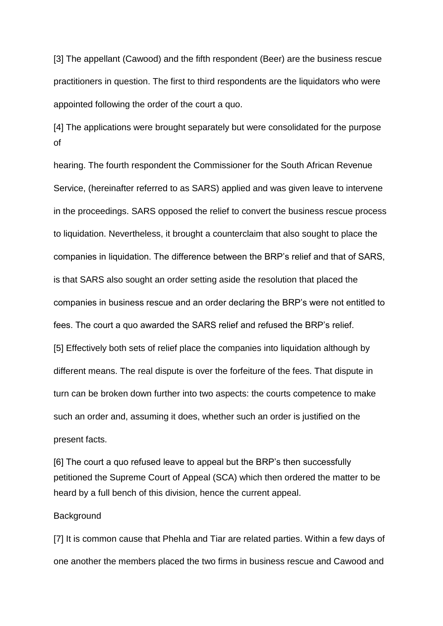[3] The appellant (Cawood) and the fifth respondent (Beer) are the business rescue practitioners in question. The first to third respondents are the liquidators who were appointed following the order of the court a quo.

[4] The applications were brought separately but were consolidated for the purpose of

hearing. The fourth respondent the Commissioner for the South African Revenue Service, (hereinafter referred to as SARS) applied and was given leave to intervene in the proceedings. SARS opposed the relief to convert the business rescue process to liquidation. Nevertheless, it brought a counterclaim that also sought to place the companies in liquidation. The difference between the BRP's relief and that of SARS, is that SARS also sought an order setting aside the resolution that placed the companies in business rescue and an order declaring the BRP's were not entitled to fees. The court a quo awarded the SARS relief and refused the BRP's relief. [5] Effectively both sets of relief place the companies into liquidation although by different means. The real dispute is over the forfeiture of the fees. That dispute in turn can be broken down further into two aspects: the courts competence to make such an order and, assuming it does, whether such an order is justified on the present facts.

[6] The court a quo refused leave to appeal but the BRP's then successfully petitioned the Supreme Court of Appeal (SCA) which then ordered the matter to be heard by a full bench of this division, hence the current appeal.

#### **Background**

[7] It is common cause that Phehla and Tiar are related parties. Within a few days of one another the members placed the two firms in business rescue and Cawood and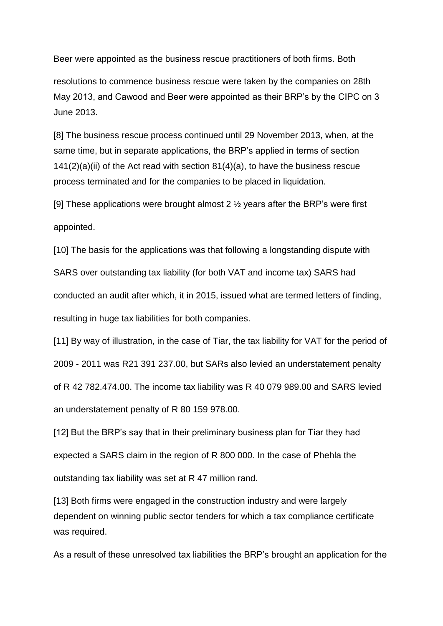Beer were appointed as the business rescue practitioners of both firms. Both

resolutions to commence business rescue were taken by the companies on 28th May 2013, and Cawood and Beer were appointed as their BRP's by the CIPC on 3 June 2013.

[8] The business rescue process continued until 29 November 2013, when, at the same time, but in separate applications, the BRP's applied in terms of section  $141(2)(a)(ii)$  of the Act read with section  $81(4)(a)$ , to have the business rescue process terminated and for the companies to be placed in liquidation.

[9] These applications were brought almost 2  $\frac{1}{2}$  years after the BRP's were first appointed.

[10] The basis for the applications was that following a longstanding dispute with SARS over outstanding tax liability (for both VAT and income tax) SARS had conducted an audit after which, it in 2015, issued what are termed letters of finding, resulting in huge tax liabilities for both companies.

[11] By way of illustration, in the case of Tiar, the tax liability for VAT for the period of 2009 - 2011 was R21 391 237.00, but SARs also levied an understatement penalty of R 42 782.474.00. The income tax liability was R 40 079 989.00 and SARS levied an understatement penalty of R 80 159 978.00.

[12] But the BRP's say that in their preliminary business plan for Tiar they had expected a SARS claim in the region of R 800 000. In the case of Phehla the outstanding tax liability was set at R 47 million rand.

[13] Both firms were engaged in the construction industry and were largely dependent on winning public sector tenders for which a tax compliance certificate was required.

As a result of these unresolved tax liabilities the BRP's brought an application for the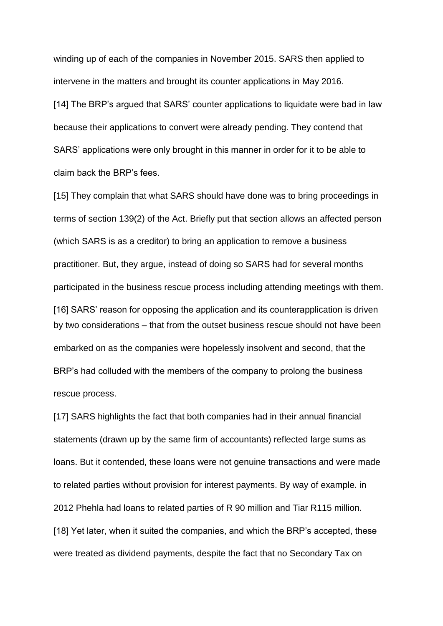winding up of each of the companies in November 2015. SARS then applied to intervene in the matters and brought its counter applications in May 2016.

[14] The BRP's argued that SARS' counter applications to liquidate were bad in law because their applications to convert were already pending. They contend that SARS' applications were only brought in this manner in order for it to be able to claim back the BRP's fees.

[15] They complain that what SARS should have done was to bring proceedings in terms of section 139(2) of the Act. Briefly put that section allows an affected person (which SARS is as a creditor) to bring an application to remove a business practitioner. But, they argue, instead of doing so SARS had for several months participated in the business rescue process including attending meetings with them. [16] SARS' reason for opposing the application and its counterapplication is driven by two considerations – that from the outset business rescue should not have been embarked on as the companies were hopelessly insolvent and second, that the BRP's had colluded with the members of the company to prolong the business rescue process.

[17] SARS highlights the fact that both companies had in their annual financial statements (drawn up by the same firm of accountants) reflected large sums as loans. But it contended, these loans were not genuine transactions and were made to related parties without provision for interest payments. By way of example. in 2012 Phehla had loans to related parties of R 90 million and Tiar R115 million. [18] Yet later, when it suited the companies, and which the BRP's accepted, these were treated as dividend payments, despite the fact that no Secondary Tax on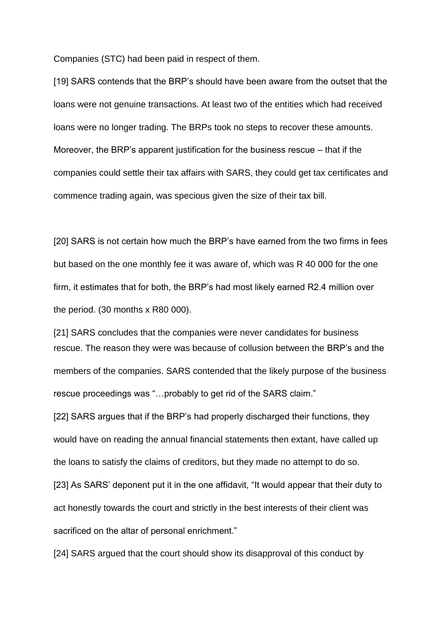Companies (STC) had been paid in respect of them.

[19] SARS contends that the BRP's should have been aware from the outset that the loans were not genuine transactions. At least two of the entities which had received loans were no longer trading. The BRPs took no steps to recover these amounts. Moreover, the BRP's apparent justification for the business rescue – that if the companies could settle their tax affairs with SARS, they could get tax certificates and commence trading again, was specious given the size of their tax bill.

[20] SARS is not certain how much the BRP's have earned from the two firms in fees but based on the one monthly fee it was aware of, which was R 40 000 for the one firm, it estimates that for both, the BRP's had most likely earned R2.4 million over the period. (30 months x R80 000).

[21] SARS concludes that the companies were never candidates for business rescue. The reason they were was because of collusion between the BRP's and the members of the companies. SARS contended that the likely purpose of the business rescue proceedings was "…probably to get rid of the SARS claim."

[22] SARS argues that if the BRP's had properly discharged their functions, they would have on reading the annual financial statements then extant, have called up the loans to satisfy the claims of creditors, but they made no attempt to do so.

[23] As SARS' deponent put it in the one affidavit, "It would appear that their duty to act honestly towards the court and strictly in the best interests of their client was sacrificed on the altar of personal enrichment."

[24] SARS argued that the court should show its disapproval of this conduct by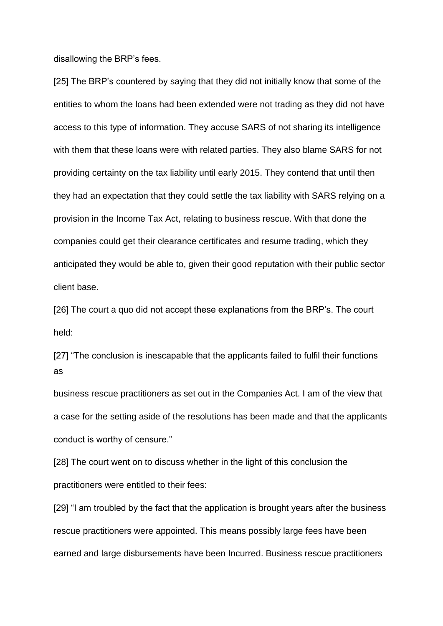disallowing the BRP's fees.

[25] The BRP's countered by saying that they did not initially know that some of the entities to whom the loans had been extended were not trading as they did not have access to this type of information. They accuse SARS of not sharing its intelligence with them that these loans were with related parties. They also blame SARS for not providing certainty on the tax liability until early 2015. They contend that until then they had an expectation that they could settle the tax liability with SARS relying on a provision in the Income Tax Act, relating to business rescue. With that done the companies could get their clearance certificates and resume trading, which they anticipated they would be able to, given their good reputation with their public sector client base.

[26] The court a quo did not accept these explanations from the BRP's. The court held:

[27] "The conclusion is inescapable that the applicants failed to fulfil their functions as

business rescue practitioners as set out in the Companies Act. I am of the view that a case for the setting aside of the resolutions has been made and that the applicants conduct is worthy of censure."

[28] The court went on to discuss whether in the light of this conclusion the practitioners were entitled to their fees:

[29] "I am troubled by the fact that the application is brought years after the business rescue practitioners were appointed. This means possibly large fees have been earned and large disbursements have been Incurred. Business rescue practitioners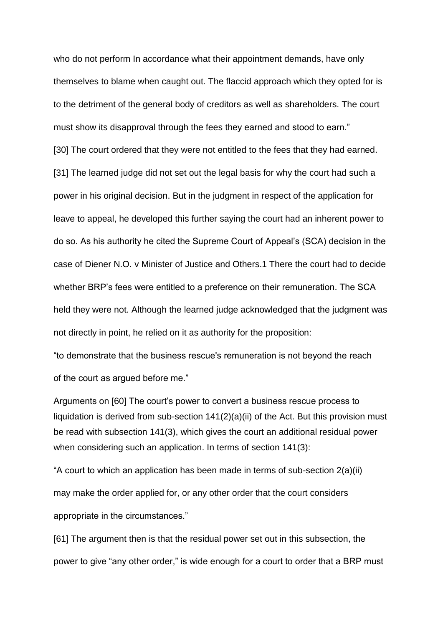who do not perform In accordance what their appointment demands, have only themselves to blame when caught out. The flaccid approach which they opted for is to the detriment of the general body of creditors as well as shareholders. The court must show its disapproval through the fees they earned and stood to earn." [30] The court ordered that they were not entitled to the fees that they had earned. [31] The learned judge did not set out the legal basis for why the court had such a power in his original decision. But in the judgment in respect of the application for leave to appeal, he developed this further saying the court had an inherent power to do so. As his authority he cited the Supreme Court of Appeal's (SCA) decision in the case of Diener N.O. v Minister of Justice and Others.1 There the court had to decide whether BRP's fees were entitled to a preference on their remuneration. The SCA held they were not. Although the learned judge acknowledged that the judgment was not directly in point, he relied on it as authority for the proposition:

"to demonstrate that the business rescue's remuneration is not beyond the reach of the court as argued before me."

Arguments on [60] The court's power to convert a business rescue process to liquidation is derived from sub-section  $141(2)(a)(ii)$  of the Act. But this provision must be read with subsection 141(3), which gives the court an additional residual power when considering such an application. In terms of section 141(3):

"A court to which an application has been made in terms of sub-section 2(a)(ii) may make the order applied for, or any other order that the court considers appropriate in the circumstances."

[61] The argument then is that the residual power set out in this subsection, the power to give "any other order," is wide enough for a court to order that a BRP must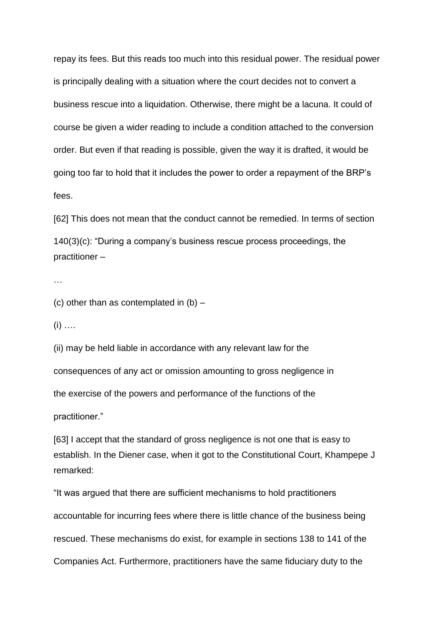repay its fees. But this reads too much into this residual power. The residual power is principally dealing with a situation where the court decides not to convert a business rescue into a liquidation. Otherwise, there might be a lacuna. It could of course be given a wider reading to include a condition attached to the conversion order. But even if that reading is possible, given the way it is drafted, it would be going too far to hold that it includes the power to order a repayment of the BRP's fees.

[62] This does not mean that the conduct cannot be remedied. In terms of section 140(3)(c): "During a company's business rescue process proceedings, the practitioner –

…

(c) other than as contemplated in  $(b)$  –

 $(i)$  …

(ii) may be held liable in accordance with any relevant law for the

consequences of any act or omission amounting to gross negligence in

the exercise of the powers and performance of the functions of the

practitioner."

[63] I accept that the standard of gross negligence is not one that is easy to establish. In the Diener case, when it got to the Constitutional Court, Khampepe J remarked:

"It was argued that there are sufficient mechanisms to hold practitioners accountable for incurring fees where there is little chance of the business being rescued. These mechanisms do exist, for example in sections 138 to 141 of the Companies Act. Furthermore, practitioners have the same fiduciary duty to the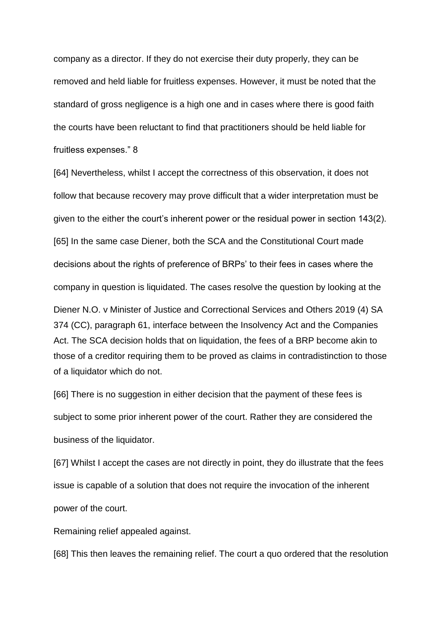company as a director. If they do not exercise their duty properly, they can be removed and held liable for fruitless expenses. However, it must be noted that the standard of gross negligence is a high one and in cases where there is good faith the courts have been reluctant to find that practitioners should be held liable for fruitless expenses." 8

[64] Nevertheless, whilst I accept the correctness of this observation, it does not follow that because recovery may prove difficult that a wider interpretation must be given to the either the court's inherent power or the residual power in section 143(2). [65] In the same case Diener, both the SCA and the Constitutional Court made decisions about the rights of preference of BRPs' to their fees in cases where the company in question is liquidated. The cases resolve the question by looking at the Diener N.O. v Minister of Justice and Correctional Services and Others 2019 (4) SA 374 (CC), paragraph 61, interface between the Insolvency Act and the Companies Act. The SCA decision holds that on liquidation, the fees of a BRP become akin to those of a creditor requiring them to be proved as claims in contradistinction to those of a liquidator which do not.

[66] There is no suggestion in either decision that the payment of these fees is subject to some prior inherent power of the court. Rather they are considered the business of the liquidator.

[67] Whilst I accept the cases are not directly in point, they do illustrate that the fees issue is capable of a solution that does not require the invocation of the inherent power of the court.

Remaining relief appealed against.

[68] This then leaves the remaining relief. The court a quo ordered that the resolution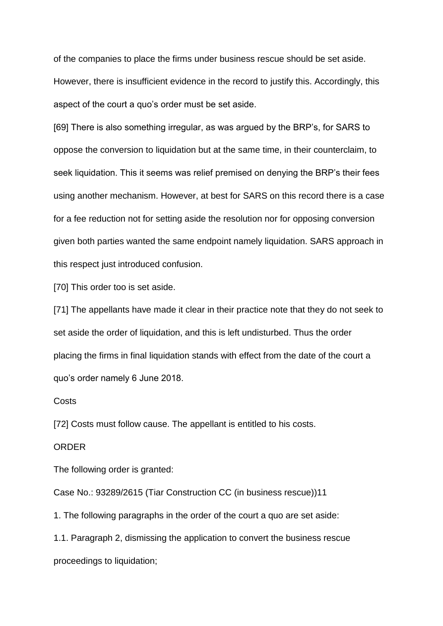of the companies to place the firms under business rescue should be set aside. However, there is insufficient evidence in the record to justify this. Accordingly, this aspect of the court a quo's order must be set aside.

[69] There is also something irregular, as was argued by the BRP's, for SARS to oppose the conversion to liquidation but at the same time, in their counterclaim, to seek liquidation. This it seems was relief premised on denying the BRP's their fees using another mechanism. However, at best for SARS on this record there is a case for a fee reduction not for setting aside the resolution nor for opposing conversion given both parties wanted the same endpoint namely liquidation. SARS approach in this respect just introduced confusion.

[70] This order too is set aside.

[71] The appellants have made it clear in their practice note that they do not seek to set aside the order of liquidation, and this is left undisturbed. Thus the order placing the firms in final liquidation stands with effect from the date of the court a quo's order namely 6 June 2018.

**Costs** 

[72] Costs must follow cause. The appellant is entitled to his costs.

#### ORDER

The following order is granted:

Case No.: 93289/2615 (Tiar Construction CC (in business rescue))11

1. The following paragraphs in the order of the court a quo are set aside:

1.1. Paragraph 2, dismissing the application to convert the business rescue proceedings to liquidation;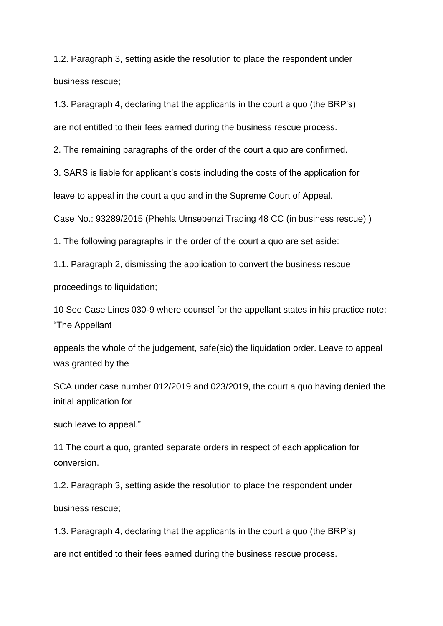1.2. Paragraph 3, setting aside the resolution to place the respondent under business rescue;

1.3. Paragraph 4, declaring that the applicants in the court a quo (the BRP's)

are not entitled to their fees earned during the business rescue process.

2. The remaining paragraphs of the order of the court a quo are confirmed.

3. SARS is liable for applicant's costs including the costs of the application for

leave to appeal in the court a quo and in the Supreme Court of Appeal.

Case No.: 93289/2015 (Phehla Umsebenzi Trading 48 CC (in business rescue) )

1. The following paragraphs in the order of the court a quo are set aside:

1.1. Paragraph 2, dismissing the application to convert the business rescue

proceedings to liquidation;

10 See Case Lines 030-9 where counsel for the appellant states in his practice note: "The Appellant

appeals the whole of the judgement, safe(sic) the liquidation order. Leave to appeal was granted by the

SCA under case number 012/2019 and 023/2019, the court a quo having denied the initial application for

such leave to appeal."

11 The court a quo, granted separate orders in respect of each application for conversion.

1.2. Paragraph 3, setting aside the resolution to place the respondent under business rescue;

1.3. Paragraph 4, declaring that the applicants in the court a quo (the BRP's) are not entitled to their fees earned during the business rescue process.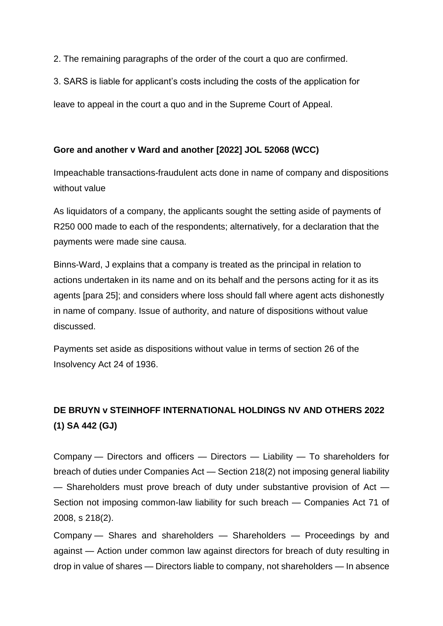2. The remaining paragraphs of the order of the court a quo are confirmed.

3. SARS is liable for applicant's costs including the costs of the application for

leave to appeal in the court a quo and in the Supreme Court of Appeal.

### **Gore and another v Ward and another [2022] JOL 52068 (WCC)**

Impeachable transactions-fraudulent acts done in name of company and dispositions without value

As liquidators of a company, the applicants sought the setting aside of payments of R250 000 made to each of the respondents; alternatively, for a declaration that the payments were made sine causa.

Binns-Ward, J explains that a company is treated as the principal in relation to actions undertaken in its name and on its behalf and the persons acting for it as its agents [para 25]; and considers where loss should fall where agent acts dishonestly in name of company. Issue of authority, and nature of dispositions without value discussed.

Payments set aside as dispositions without value in terms of section 26 of the Insolvency Act 24 of 1936.

# **DE BRUYN v STEINHOFF INTERNATIONAL HOLDINGS NV AND OTHERS 2022 (1) SA 442 (GJ)**

Company — Directors and officers — Directors — Liability — To shareholders for breach of duties under Companies Act — Section 218(2) not imposing general liability — Shareholders must prove breach of duty under substantive provision of Act — Section not imposing common-law liability for such breach — Companies Act 71 of 2008, s 218(2).

Company — Shares and shareholders — Shareholders — Proceedings by and against — Action under common law against directors for breach of duty resulting in drop in value of shares — Directors liable to company, not shareholders — In absence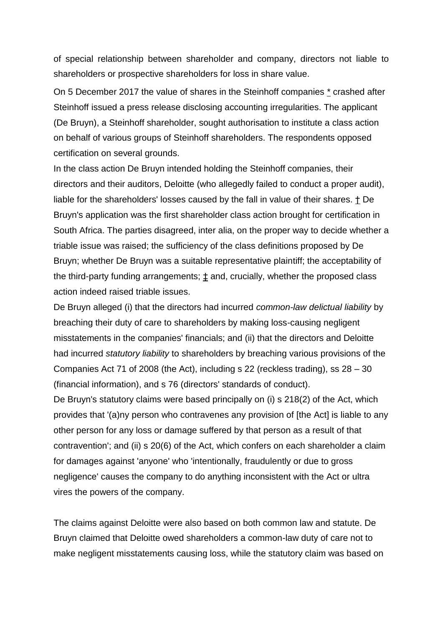of special relationship between shareholder and company, directors not liable to shareholders or prospective shareholders for loss in share value.

On 5 December 2017 the value of shares in the Steinhoff companies [\\*](https://jutastat-juta-co-za.uplib.idm.oclc.org/nxt/gateway.dll/salr/3/4/20/28?f=templates&fn=document-frameset.htm&q=&uq=&x=&up=1&force=4585#end_0-0-0-4943) crashed after Steinhoff issued a press release disclosing accounting irregularities. The applicant (De Bruyn), a Steinhoff shareholder, sought authorisation to institute a class action on behalf of various groups of Steinhoff shareholders. The respondents opposed certification on several grounds.

In the class action De Bruyn intended holding the Steinhoff companies, their directors and their auditors, Deloitte (who allegedly failed to conduct a proper audit), liable for the shareholders' losses caused by the fall in value of their shares. [†](https://jutastat-juta-co-za.uplib.idm.oclc.org/nxt/gateway.dll/salr/3/4/20/28?f=templates&fn=document-frameset.htm&q=&uq=&x=&up=1&force=4585#end_0-0-0-4947) De Bruyn's application was the first shareholder class action brought for certification in South Africa. The parties disagreed, inter alia, on the proper way to decide whether a triable issue was raised; the sufficiency of the class definitions proposed by De Bruyn; whether De Bruyn was a suitable representative plaintiff; the acceptability of the third-party funding arrangements;  $\pm$  and, crucially, whether the proposed class action indeed raised triable issues.

De Bruyn alleged (i) that the directors had incurred *common-law delictual liability* by breaching their duty of care to shareholders by making loss-causing negligent misstatements in the companies' financials; and (ii) that the directors and Deloitte had incurred *statutory liability* to shareholders by breaching various provisions of the Companies Act 71 of 2008 (the Act), including s 22 (reckless trading), ss 28 – 30 (financial information), and s 76 (directors' standards of conduct).

De Bruyn's statutory claims were based principally on (i) s 218(2) of the Act, which provides that '(a)ny person who contravenes any provision of [the Act] is liable to any other person for any loss or damage suffered by that person as a result of that contravention'; and (ii) s 20(6) of the Act, which confers on each shareholder a claim for damages against 'anyone' who 'intentionally, fraudulently or due to gross negligence' causes the company to do anything inconsistent with the Act or ultra vires the powers of the company.

The claims against Deloitte were also based on both common law and statute. De Bruyn claimed that Deloitte owed shareholders a common-law duty of care not to make negligent misstatements causing loss, while the statutory claim was based on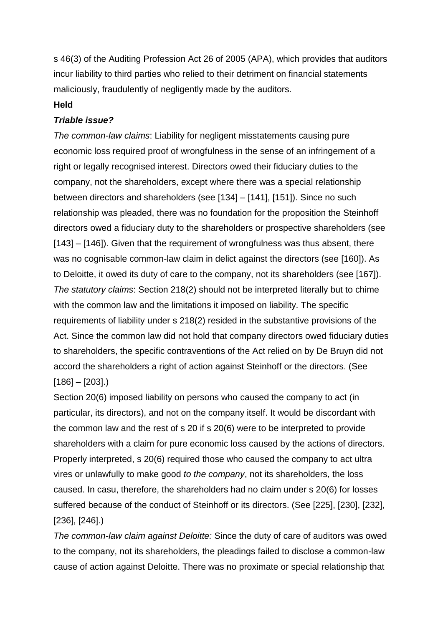s 46(3) of the Auditing Profession Act 26 of 2005 (APA), which provides that auditors incur liability to third parties who relied to their detriment on financial statements maliciously, fraudulently of negligently made by the auditors.

#### **Held**

#### *Triable issue?*

*The common-law claims*: Liability for negligent misstatements causing pure economic loss required proof of wrongfulness in the sense of an infringement of a right or legally recognised interest. Directors owed their fiduciary duties to the company, not the shareholders, except where there was a special relationship between directors and shareholders (see [134] – [141], [151]). Since no such relationship was pleaded, there was no foundation for the proposition the Steinhoff directors owed a fiduciary duty to the shareholders or prospective shareholders (see [143] – [146]). Given that the requirement of wrongfulness was thus absent, there was no cognisable common-law claim in delict against the directors (see [160]). As to Deloitte, it owed its duty of care to the company, not its shareholders (see [167]). *The statutory claims*: Section 218(2) should not be interpreted literally but to chime with the common law and the limitations it imposed on liability. The specific requirements of liability under s 218(2) resided in the substantive provisions of the Act. Since the common law did not hold that company directors owed fiduciary duties to shareholders, the specific contraventions of the Act relied on by De Bruyn did not accord the shareholders a right of action against Steinhoff or the directors. (See  $[186] - [203]$ .

Section 20(6) imposed liability on persons who caused the company to act (in particular, its directors), and not on the company itself. It would be discordant with the common law and the rest of s 20 if s 20(6) were to be interpreted to provide shareholders with a claim for pure economic loss caused by the actions of directors. Properly interpreted, s 20(6) required those who caused the company to act ultra vires or unlawfully to make good *to the company*, not its shareholders, the loss caused. In casu, therefore, the shareholders had no claim under s 20(6) for losses suffered because of the conduct of Steinhoff or its directors. (See [225], [230], [232], [236], [246].)

*The common-law claim against Deloitte:* Since the duty of care of auditors was owed to the company, not its shareholders, the pleadings failed to disclose a common-law cause of action against Deloitte. There was no proximate or special relationship that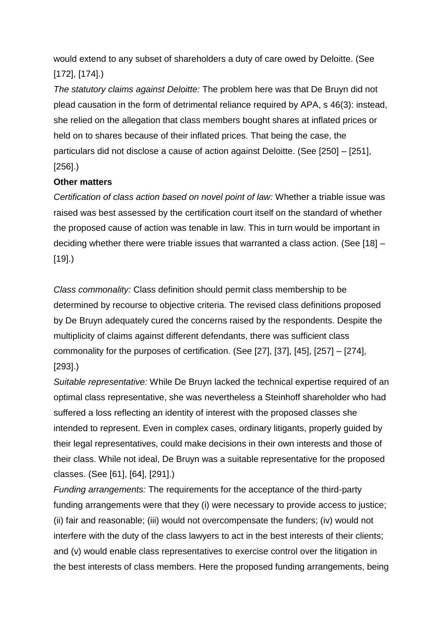would extend to any subset of shareholders a duty of care owed by Deloitte. (See [172], [174].)

*The statutory claims against Deloitte:* The problem here was that De Bruyn did not plead causation in the form of detrimental reliance required by APA, s 46(3): instead, she relied on the allegation that class members bought shares at inflated prices or held on to shares because of their inflated prices. That being the case, the particulars did not disclose a cause of action against Deloitte. (See [250] – [251], [256].)

### **Other matters**

*Certification of class action based on novel point of law:* Whether a triable issue was raised was best assessed by the certification court itself on the standard of whether the proposed cause of action was tenable in law. This in turn would be important in deciding whether there were triable issues that warranted a class action. (See [18] – [19].)

*Class commonality:* Class definition should permit class membership to be determined by recourse to objective criteria. The revised class definitions proposed by De Bruyn adequately cured the concerns raised by the respondents. Despite the multiplicity of claims against different defendants, there was sufficient class commonality for the purposes of certification. (See [27], [37], [45], [257] – [274], [293].)

*Suitable representative:* While De Bruyn lacked the technical expertise required of an optimal class representative, she was nevertheless a Steinhoff shareholder who had suffered a loss reflecting an identity of interest with the proposed classes she intended to represent. Even in complex cases, ordinary litigants, properly guided by their legal representatives, could make decisions in their own interests and those of their class. While not ideal, De Bruyn was a suitable representative for the proposed classes. (See [61], [64], [291].)

*Funding arrangements:* The requirements for the acceptance of the third-party funding arrangements were that they (i) were necessary to provide access to justice; (ii) fair and reasonable; (iii) would not overcompensate the funders; (iv) would not interfere with the duty of the class lawyers to act in the best interests of their clients; and (v) would enable class representatives to exercise control over the litigation in the best interests of class members. Here the proposed funding arrangements, being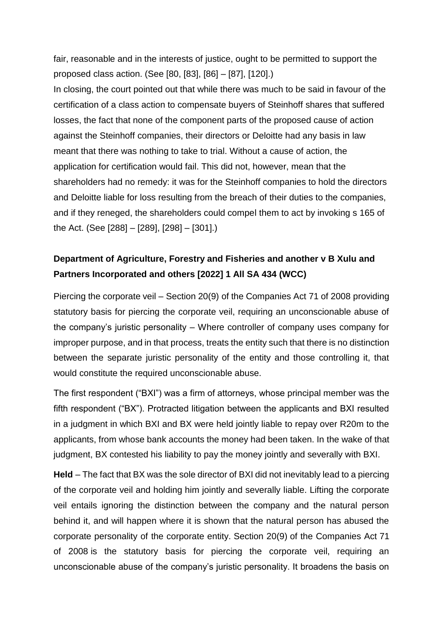fair, reasonable and in the interests of justice, ought to be permitted to support the proposed class action. (See [80, [83], [86] – [87], [120].)

In closing, the court pointed out that while there was much to be said in favour of the certification of a class action to compensate buyers of Steinhoff shares that suffered losses, the fact that none of the component parts of the proposed cause of action against the Steinhoff companies, their directors or Deloitte had any basis in law meant that there was nothing to take to trial. Without a cause of action, the application for certification would fail. This did not, however, mean that the shareholders had no remedy: it was for the Steinhoff companies to hold the directors and Deloitte liable for loss resulting from the breach of their duties to the companies, and if they reneged, the shareholders could compel them to act by invoking s 165 of the Act. (See [288] – [289], [298] – [301].)

## **Department of Agriculture, Forestry and Fisheries and another v B Xulu and Partners Incorporated and others [2022] 1 All SA 434 (WCC)**

Piercing the corporate veil – Section 20(9) of the Companies Act 71 of 2008 providing statutory basis for piercing the corporate veil, requiring an unconscionable abuse of the company's juristic personality – Where controller of company uses company for improper purpose, and in that process, treats the entity such that there is no distinction between the separate juristic personality of the entity and those controlling it, that would constitute the required unconscionable abuse.

The first respondent ("BXI") was a firm of attorneys, whose principal member was the fifth respondent ("BX"). Protracted litigation between the applicants and BXI resulted in a judgment in which BXI and BX were held jointly liable to repay over R20m to the applicants, from whose bank accounts the money had been taken. In the wake of that judgment, BX contested his liability to pay the money jointly and severally with BXI.

**Held** – The fact that BX was the sole director of BXI did not inevitably lead to a piercing of the corporate veil and holding him jointly and severally liable. Lifting the corporate veil entails ignoring the distinction between the company and the natural person behind it, and will happen where it is shown that the natural person has abused the corporate personality of the corporate entity. Section 20(9) of the Companies Act 71 of 2008 is the statutory basis for piercing the corporate veil, requiring an unconscionable abuse of the company's juristic personality. It broadens the basis on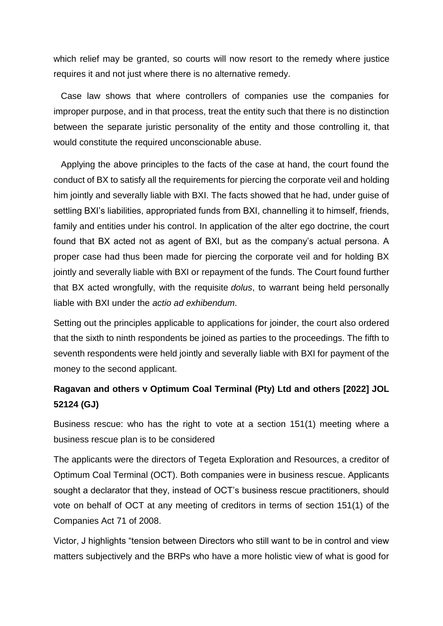which relief may be granted, so courts will now resort to the remedy where justice requires it and not just where there is no alternative remedy.

Case law shows that where controllers of companies use the companies for improper purpose, and in that process, treat the entity such that there is no distinction between the separate juristic personality of the entity and those controlling it, that would constitute the required unconscionable abuse.

Applying the above principles to the facts of the case at hand, the court found the conduct of BX to satisfy all the requirements for piercing the corporate veil and holding him jointly and severally liable with BXI. The facts showed that he had, under guise of settling BXI's liabilities, appropriated funds from BXI, channelling it to himself, friends, family and entities under his control. In application of the alter ego doctrine, the court found that BX acted not as agent of BXI, but as the company's actual persona. A proper case had thus been made for piercing the corporate veil and for holding BX jointly and severally liable with BXI or repayment of the funds. The Court found further that BX acted wrongfully, with the requisite *dolus*, to warrant being held personally liable with BXI under the *actio ad exhibendum*.

Setting out the principles applicable to applications for joinder, the court also ordered that the sixth to ninth respondents be joined as parties to the proceedings. The fifth to seventh respondents were held jointly and severally liable with BXI for payment of the money to the second applicant.

## **Ragavan and others v Optimum Coal Terminal (Pty) Ltd and others [2022] JOL 52124 (GJ)**

Business rescue: who has the right to vote at a section 151(1) meeting where a business rescue plan is to be considered

The applicants were the directors of Tegeta Exploration and Resources, a creditor of Optimum Coal Terminal (OCT). Both companies were in business rescue. Applicants sought a declarator that they, instead of OCT's business rescue practitioners, should vote on behalf of OCT at any meeting of creditors in terms of section 151(1) of the Companies Act 71 of 2008.

Victor, J highlights "tension between Directors who still want to be in control and view matters subjectively and the BRPs who have a more holistic view of what is good for